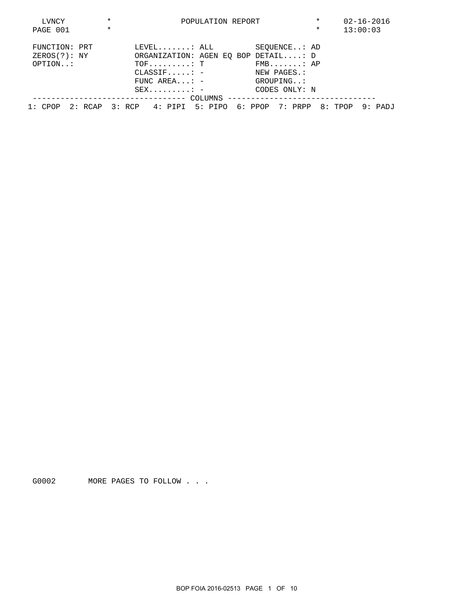| LVNCY         | $\star$ |                                                                |                                     | POPULATION REPORT                         | $\star$                             | $02 - 16 - 2016$ |          |  |
|---------------|---------|----------------------------------------------------------------|-------------------------------------|-------------------------------------------|-------------------------------------|------------------|----------|--|
| PAGE 001      | $\star$ |                                                                |                                     |                                           |                                     | $\ast$           | 13:00:03 |  |
| FUNCTION: PRT |         |                                                                |                                     | $\tt \tt LEVEL$ , , , , , , . : $\tt ALL$ | SEOUENCE: AD                        |                  |          |  |
| ZEROS(?): NY  |         |                                                                |                                     |                                           | ORGANIZATION: AGEN EQ BOP DETAIL: D |                  |          |  |
| OPTION:       |         |                                                                | $TOF \ldots \ldots \ldots \vdots$ T |                                           | $FMB$ $AP$                          |                  |          |  |
|               |         |                                                                |                                     | $\texttt{CLASSIF} \dots \dots =$          | NEW PAGES.:                         |                  |          |  |
|               |         |                                                                |                                     | FUNC AREA: $-$                            | GROUPING:                           |                  |          |  |
|               |         |                                                                |                                     | $SEX \ldots \ldots \ldots$                | CODES ONLY: N                       |                  |          |  |
|               |         |                                                                |                                     |                                           |                                     |                  |          |  |
| 1: CPOP       |         | 2: RCAP 3: RCP 4: PIPI 5: PIPO 6: PPOP 7: PRPP 8: TPOP 9: PADJ |                                     |                                           |                                     |                  |          |  |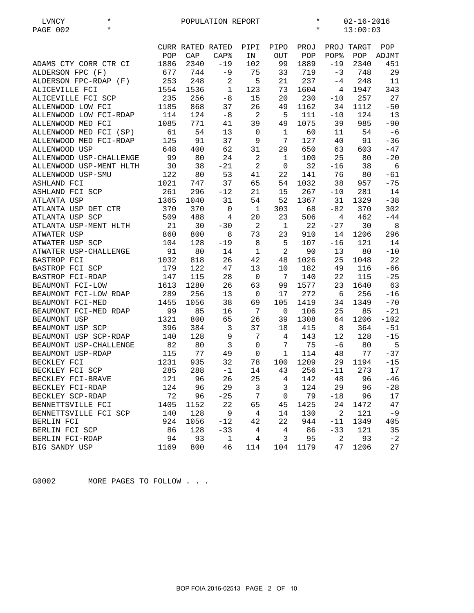| $^\star$<br>LVNCY<br>$\star$<br>PAGE 002 |      |                  | POPULATION REPORT |                 | $^\star$<br>$\star$ |          |                |            | $02 - 16 - 2016$<br>13:00:03 |  |  |
|------------------------------------------|------|------------------|-------------------|-----------------|---------------------|----------|----------------|------------|------------------------------|--|--|
|                                          |      | CURR RATED RATED |                   | PIPI            | PIPO                | PROJ     |                | PROJ TARGT | POP                          |  |  |
|                                          | POP  | CAP              | $CAP$ %           | IN              | OUT                 | POP      | POP%           | POP        | ADJMT                        |  |  |
| ADAMS CTY CORR CTR CI                    | 1886 | 2340             | $-19$             | 102             | 99                  | 1889     | $-19$          | 2340       | 451                          |  |  |
| ALDERSON FPC (F)                         | 677  | 744              | $-9$              | 75              | 33                  | 719      | -3             | 748        | 29                           |  |  |
| ALDERSON FPC-RDAP (F)                    | 253  | 248              | $\sqrt{2}$        | 5               | 21                  | 237      | $-4$           | 248        | 11                           |  |  |
| ALICEVILLE FCI                           | 1554 | 1536             | $\mathbf 1$       | 123             | 73                  | 1604     | $\overline{4}$ | 1947       | 343                          |  |  |
| ALICEVILLE FCI SCP                       | 235  | 256              | $-8$              | 15              | 20                  | 230      | $-10$          | 257        | 27                           |  |  |
| ALLENWOOD LOW FCI                        | 1185 | 868              | 37                | 26              | 49                  | 1162     | 34             | 1112       | $-50$                        |  |  |
| ALLENWOOD LOW FCI-RDAP                   | 114  | 124              | $-8$              | 2               | 5                   | 111      | $-10$          | 124        | 13                           |  |  |
| ALLENWOOD MED FCI                        | 1085 | 771              | 41                | 39              | 49                  | 1075     | 39             | 985        | $-90$                        |  |  |
| ALLENWOOD MED FCI (SP)                   | 61   | 54               | 13                | $\mathbf 0$     | $\mathbf{1}$        | 60       | 11             | 54         | $-6$                         |  |  |
| ALLENWOOD MED FCI-RDAP                   | 125  | 91               | 37                | 9               | 7                   | 127      | 40             | 91         | $-36$                        |  |  |
| ALLENWOOD USP                            | 648  | 400              | 62                | 31              | 29                  | 650      | 63             | 603        | $-47$                        |  |  |
| ALLENWOOD USP-CHALLENGE                  | 99   | 80               | 24                | $\overline{c}$  | $\mathbf{1}$        | 100      | 25             | 80         | $-20$                        |  |  |
| ALLENWOOD USP-MENT HLTH                  | 30   | 38               | $-21$             | $\overline{2}$  | $\mathbf 0$         | 32       | $-16$          | 38         | 6                            |  |  |
| ALLENWOOD USP-SMU                        | 122  | 80               | 53                | 41              | 22                  | 141      | 76             | 80         | $-61$                        |  |  |
| ASHLAND FCI                              | 1021 | 747              | 37                | 65              | 54                  | 1032     | 38             | 957        | $-75$                        |  |  |
| ASHLAND FCI SCP                          | 261  | 296              | $-12$             | 21              | 15                  | 267      | $-10$          | 281        | 14                           |  |  |
| ATLANTA USP                              | 1365 | 1040             | 31                | 54              | 52                  | 1367     | 31             | 1329       | $-38$                        |  |  |
| ATLANTA USP DET CTR                      | 370  | 370              | $\mathbf 0$       | $\mathbf{1}$    | 303                 | 68       | $-82$          | 370        | 302                          |  |  |
| ATLANTA USP SCP                          | 509  | 488              | 4                 | 20              | 23                  | 506      | 4              | 462        | $-44$                        |  |  |
| ATLANTA USP-MENT HLTH                    | 21   | 30               | $-30$             | $\overline{c}$  | $\mathbf{1}$        | 22       | $-27$          | 30         | 8                            |  |  |
| <b>ATWATER USP</b>                       | 860  | 800              | 8                 | 73              | 23                  | 910      | 14             | 1206       | 296                          |  |  |
| ATWATER USP SCP                          | 104  | 128              | $-19$             | 8               | 5                   | 107      | $-16$          | 121        | 14                           |  |  |
| ATWATER USP-CHALLENGE                    | 91   | 80               | 14                | $\mathbf 1$     | $\sqrt{2}$          | 90       | 13             | 80         | $-10$                        |  |  |
| BASTROP FCI                              | 1032 | 818              | 26                | 42              | 48                  | 1026     | 25             | 1048       | 22                           |  |  |
| BASTROP FCI SCP                          | 179  | 122              | 47                | 13              | 10                  | 182      | 49             | 116        | $-66$                        |  |  |
| BASTROP FCI-RDAP                         | 147  | 115              | 28                | $\mathbf 0$     | 7                   | 140      | 22             | 115        | $-25$                        |  |  |
| BEAUMONT FCI-LOW                         | 1613 | 1280             | 26                | 63              | 99                  | 1577     | 23             | 1640       | 63                           |  |  |
| BEAUMONT FCI-LOW RDAP                    | 289  | 256              | 13                | $\mathbf 0$     | 17                  | 272      | 6              | 256        | $-16$                        |  |  |
| BEAUMONT FCI-MED                         | 1455 | 1056             | 38                | 69              | 105                 | 1419     | 34             | 1349       | $-70$                        |  |  |
| BEAUMONT FCI-MED RDAP                    | 99   | 85               | 16                | 7               | $\mathbf 0$         | 106      | 25             | 85         | $-21$                        |  |  |
| BEAUMONT USP                             | 1321 | 800              | 65                | 26              | 39                  | 1308     | 64             | 1206       | $-102$                       |  |  |
| BEAUMONT USP SCP                         | 396  | 384              | 3                 | 37              | 18                  | 415      | 8              | 364        | $-51$                        |  |  |
| BEAUMONT USP SCP-RDAP                    | 140  | 128              | 9                 | 7               | 4                   | 143      | 12             | 128        | $-15$                        |  |  |
| BEAUMONT USP-CHALLENGE                   | 82   | 80               | $\mathbf{3}$      | $\mathbf 0$     | 7                   | 75       | -6             | 80         | $5^{\circ}$                  |  |  |
| BEAUMONT USP-RDAP                        | 115  | 77               | 49                | $\mathsf 0$     | $\mathbf{1}$        | 114      | 48             | 77         | $-37$                        |  |  |
| BECKLEY FCI                              | 1231 | 935              | 32                | 78              |                     | 100 1209 |                | 29 1194    | $-15$                        |  |  |
| BECKLEY FCI SCP                          | 285  | 288              | $-1$              | 14              | 43                  | 256      | $-11$          | 273        | 17                           |  |  |
| BECKLEY FCI-BRAVE                        | 121  | 96               | 26                | 25              | 4                   | 142      | 48             | 96         | $-46$                        |  |  |
| BECKLEY FCI-RDAP                         | 124  | 96               | 29                | 3               | 3                   | 124      | 29             | 96         | $-28$                        |  |  |
| BECKLEY SCP-RDAP                         | 72   | 96               | $-25$             | $7\phantom{.0}$ | $\mathsf 0$         | 79       | $-18$          | 96         | 17                           |  |  |
| BENNETTSVILLE FCI                        | 1405 | 1152             | 22                | 65              | 45                  | 1425     | 24             | 1472       | 47                           |  |  |
| BENNETTSVILLE FCI SCP                    | 140  | 128              | $\mathsf 9$       | $\overline{4}$  | 14                  | 130      | $\overline{a}$ | 121        | $-9$                         |  |  |
| BERLIN FCI                               | 924  | 1056             | $-12$             | 42              | 22                  | 944      | $-11$          | 1349       | 405                          |  |  |
| BERLIN FCI SCP                           | 86   | 128              | $-33$             | 4               | 4                   | 86       | $-33$          | 121        | 35                           |  |  |
| BERLIN FCI-RDAP                          | 94   | 93               | $\mathbf{1}$      | $\overline{4}$  | 3                   | 95       | $\overline{a}$ | 93         | $-2$                         |  |  |
| BIG SANDY USP                            | 1169 | 800              | 46                | 114             | 104                 | 1179     | 47             | 1206       | 27                           |  |  |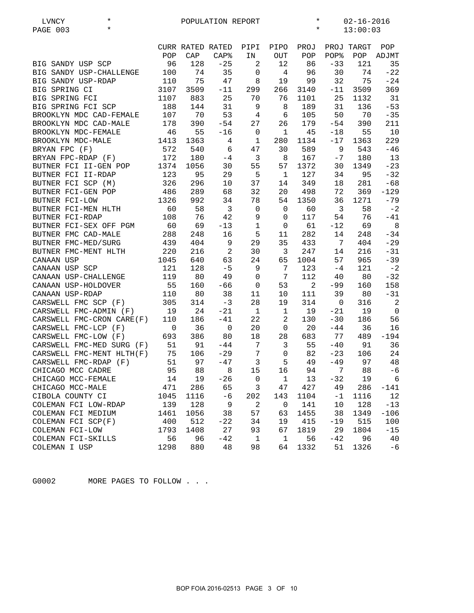| $^\star$<br>LVNCY<br>$\star$<br>PAGE 003 |             |      | POPULATION REPORT |                |                | $\ast$<br>$02 - 16 - 2016$<br>$\star$<br>13:00:03 |                |            |                |
|------------------------------------------|-------------|------|-------------------|----------------|----------------|---------------------------------------------------|----------------|------------|----------------|
|                                          |             |      | CURR RATED RATED  | PIPI           | PIPO           | PROJ                                              |                | PROJ TARGT | POP            |
|                                          | POP         | CAP  | CAP <sup>8</sup>  | IN             | <b>OUT</b>     | POP                                               | POP%           | POP        | ADJMT          |
| BIG SANDY USP SCP                        | 96          | 128  | $-25$             | 2              | 12             | 86                                                | $-33$          | 121        | 35             |
| BIG SANDY USP-CHALLENGE                  | 100         | 74   | 35                | 0              | $\overline{4}$ | 96                                                | 30             | 74         | $-22$          |
| BIG SANDY USP-RDAP                       | 110         | 75   | 47                | 8              | 19             | 99                                                | 32             | 75         | $-24$          |
| BIG SPRING CI                            | 3107        | 3509 | $-11$             | 299            | 266            | 3140                                              | $-11$          | 3509       | 369            |
| BIG SPRING FCI                           | 1107        | 883  | 25                | 70             | 76             | 1101                                              | 25             | 1132       | 31             |
| BIG SPRING FCI SCP                       | 188         | 144  | 31                | 9              | 8              | 189                                               | 31             | 136        | $-53$          |
| BROOKLYN MDC CAD-FEMALE                  | 107         | 70   | 53                | 4              | 6              | 105                                               | 50             | 70         | $-35$          |
| BROOKLYN MDC CAD-MALE                    | 178         | 390  | $-54$             | 27             | 26             | 179                                               | $-54$          | 390        | 211            |
| BROOKLYN MDC-FEMALE                      | 46          | 55   | $-16$             | $\mathbf 0$    | $\mathbf{1}$   | 45                                                | $-18$          | 55         | 10             |
| BROOKLYN MDC-MALE                        | 1413        | 1363 | 4                 | 1              | 280            | 1134                                              | $-17$          | 1363       | 229            |
| BRYAN FPC (F)                            | 572         | 540  | 6                 | 47             | 30             | 589                                               | 9              | 543        | $-46$          |
| BRYAN FPC-RDAP (F)                       | 172         | 180  | $-4$              | $\overline{3}$ | 8              | 167                                               | $-7$           | 180        | 13             |
| BUTNER FCI II-GEN POP                    | 1374        | 1056 | 30                | 55             | 57             | 1372                                              | 30             | 1349       | $-23$          |
| BUTNER FCI II-RDAP                       | 123         | 95   | 29                | 5              | 1              | 127                                               | 34             | 95         | $-32$          |
| BUTNER FCI SCP (M)                       | 326         | 296  | 10                | 37             | 14             | 349                                               | 18             | 281        | $-68$          |
| BUTNER FCI-GEN POP                       | 486         | 289  | 68                | 32             | 20             | 498                                               | 72             | 369        | $-129$         |
| BUTNER FCI-LOW                           | 1326        | 992  | 34                | 78             | 54             | 1350                                              | 36             | 1271       | $-79$          |
| BUTNER FCI-MEN HLTH                      | 60          | 58   | $\mathbf{3}$      | $\mathbf{0}$   | $\mathbf 0$    | 60                                                | $\mathbf{3}$   | 58         | $-2$           |
| BUTNER FCI-RDAP                          | 108         | 76   | 42                | 9              | $\mathbf 0$    | 117                                               | 54             | 76         | $-41$          |
| BUTNER FCI-SEX OFF PGM                   | 60          | 69   | $-13$             | 1              | $\mathbf 0$    | 61                                                | $-12$          | 69         | 8              |
| BUTNER FMC CAD-MALE                      | 288         | 248  | 16                | 5              | 11             | 282                                               | 14             | 248        | $-34$          |
| BUTNER FMC-MED/SURG                      | 439         | 404  | 9                 | 29             | 35             | 433                                               | 7              | 404        | $-29$          |
| BUTNER FMC-MENT HLTH                     | 220         | 216  | $\sqrt{2}$        | 30             | $\overline{3}$ | 247                                               | 14             | 216        | $-31$          |
| CANAAN USP                               | 1045        | 640  | 63                | 24             | 65             | 1004                                              | 57             | 965        | $-39$          |
| CANAAN USP SCP                           | 121         | 128  | $-5$              | 9              | 7              | 123                                               | $-4$           | 121        | $-2$           |
| CANAAN USP-CHALLENGE                     | 119         | 80   | 49                | 0              | 7              | 112                                               | 40             | 80         | $-32$          |
| CANAAN USP-HOLDOVER                      | 55          | 160  | $-66$             | $\mathbf 0$    | 53             | $\overline{2}$                                    | $-99$          | 160        | 158            |
| CANAAN USP-RDAP                          | 110         | 80   | 38                | 11             | 10             | 111                                               | 39             | 80         | $-31$          |
| CARSWELL FMC SCP (F)                     | 305         | 314  | $-3$              | 28             | 19             | 314                                               | $\overline{0}$ | 316        | $\overline{2}$ |
| CARSWELL FMC-ADMIN (F)                   | 19          | 24   | $-21$             | <sup>1</sup>   | $\mathbf{1}$   | 19                                                | $-21$          | 19         | $\overline{0}$ |
| CARSWELL FMC-CRON CARE(F)                | 110         | 186  | $-41$             | 22             | $\overline{a}$ | 130                                               | $-30$          | 186        | 56             |
| CARSWELL FMC-LCP (F)                     | $\mathbf 0$ | 36   | $\mathbf 0$       | 20             | $\mathbf 0$    | 20                                                | $-44$          | 36         | 16             |
| CARSWELL FMC-LOW (F)                     | 693         | 386  | 80                | 18             | 28             | 683                                               | 77             | 489        | $-194$         |
| CARSWELL FMC-MED SURG (F)                | 51          | 91   | $-44$             | 7              | 3              | 55                                                | $-40$          | 91         | 36             |
| CARSWELL FMC-MENT HLTH(F)                | 75          | 106  | $-29$             | $\overline{7}$ | $\mathsf 0$    | 82                                                | $-23$          | 106        | 24             |
| CARSWELL FMC-RDAP (F)                    |             | 51   | $97 - 47$         | 3              | 5              |                                                   | $49 - 49$      | 97         | 48             |
| CHICAGO MCC CADRE                        | 95          | 88   | 8                 | 15             | 16             | 94                                                | 7              | 88         | -6             |
| CHICAGO MCC-FEMALE                       | 14          | 19   | $-26$             | $\mathbf 0$    | $\mathbf{1}$   | 13                                                | $-32$          | 19         | 6              |
| CHICAGO MCC-MALE                         | 471         | 286  | 65                | 3              | 47             | 427                                               | 49             | 286        | -141           |
| CIBOLA COUNTY CI                         | 1045        | 1116 | $-6$              | 202            | 143            | 1104                                              | -1             | 1116       | 12             |
| COLEMAN FCI LOW-RDAP                     | 139         | 128  | $\,9$             | $\overline{a}$ | $\mathbf 0$    | 141                                               | 10             | 128        | $-13$          |
| COLEMAN FCI MEDIUM                       | 1461        | 1056 | 38                | 57             | 63             | 1455                                              | 38             | 1349       | $-106$         |
| COLEMAN FCI SCP(F)                       | 400         | 512  | $-22$             | 34             | 19             | 415                                               | $-19$          | 515        | 100            |
| COLEMAN FCI-LOW                          | 1793        | 1408 | 27                | 93             | 67             | 1819                                              | 29             | 1804       | $-15$          |
| COLEMAN FCI-SKILLS                       | 56          | 96   | $-42$             | 1              | $\mathbf{1}$   | 56                                                | $-42$          | 96         | 40             |
| COLEMAN I USP                            | 1298        | 880  | 48                | 98             | 64             | 1332                                              | 51             | 1326       | $-6$           |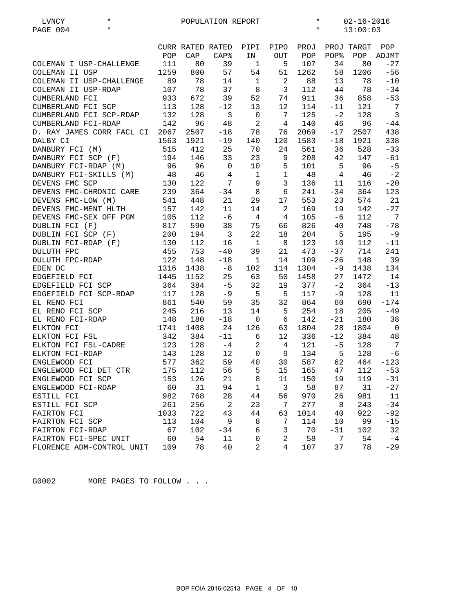| $\star$<br>$\star$<br>PAGE 004<br>13:00:03<br>CURR RATED RATED<br>PIPI<br>PIPO<br>PROJ<br>POP<br>PROJ TARGT<br>POP<br>CAP<br>CAP <sup>8</sup><br>IN<br><b>OUT</b><br>POP<br>POP%<br>POP<br>ADJMT<br>111<br>80<br>39<br>107<br>34<br>80<br>$-27$<br>COLEMAN I USP-CHALLENGE<br>$\mathbf{1}$<br>5<br>57<br>58<br>1259<br>800<br>54<br>51<br>1262<br>1206<br>$-56$<br>COLEMAN II USP<br>89<br>78<br>2<br>88<br>78<br>$-10$<br>COLEMAN II USP-CHALLENGE<br>14<br>$\mathbf{1}$<br>13<br>107<br>78<br>37<br>$\overline{3}$<br>112<br>COLEMAN II USP-RDAP<br>8<br>44<br>78<br>$-34$<br>CUMBERLAND FCI<br>933<br>39<br>52<br>911<br>36<br>672<br>74<br>858<br>$-53$<br>CUMBERLAND FCI SCP<br>113<br>128<br>121<br>$7\phantom{.0}$<br>$-12$<br>13<br>12<br>114<br>$-11$<br>$\mathbf{3}$<br>132<br>128<br>$\mathbf{3}$<br>$\mathbf 0$<br>$7\phantom{.0}$<br>125<br>$-2$<br>128<br>CUMBERLAND FCI SCP-RDAP<br>$\sqrt{2}$<br>CUMBERLAND FCI-RDAP<br>142<br>96<br>48<br>$\overline{4}$<br>140<br>46<br>96<br>$-44$<br>2507<br>2069<br>2507<br>438<br>D. RAY JAMES CORR FACL CI<br>2067<br>$-18$<br>78<br>76<br>$-17$<br>1921<br>1583<br>1921<br>338<br>DALBY CI<br>1563<br>$-19$<br>140<br>120<br>$-18$<br>DANBURY FCI (M)<br>515<br>412<br>25<br>70<br>561<br>528<br>24<br>36<br>$-33$<br>194<br>146<br>33<br>23<br>208<br>42<br>147<br>DANBURY FCI SCP (F)<br>9<br>$-61$<br>96<br>10<br>5<br>101<br>5<br>96<br>$-5$<br>DANBURY FCI-RDAP (M)<br>96<br>$\mathbf 0$<br>$\mathbf{1}$<br>$-2$<br>DANBURY FCI-SKILLS (M)<br>48<br>46<br>$\overline{4}$<br>$\mathbf{1}$<br>48<br>$\overline{4}$<br>46<br>122<br>7<br>9<br>3<br>$-20$<br>DEVENS FMC SCP<br>130<br>136<br>116<br>11<br>239<br>8<br>123<br>DEVENS FMC-CHRONIC CARE<br>364<br>$-34$<br>6<br>241<br>$-34$<br>364<br>541<br>21<br>17<br>553<br>574<br>21<br>DEVENS FMC-LOW (M)<br>448<br>29<br>23<br>142<br>11<br>2<br>169<br>142<br>$-27$<br>DEVENS FMC-MENT HLTH<br>157<br>14<br>19<br>112<br>$-6$<br>$\overline{4}$<br>$\overline{4}$<br>105<br>112<br>7<br>DEVENS FMC-SEX OFF PGM<br>105<br>-6<br>826<br>DUBLIN FCI (F)<br>817<br>590<br>38<br>75<br>66<br>748<br>$-78$<br>40<br>DUBLIN FCI SCP (F)<br>200<br>194<br>$\mathbf{3}$<br>22<br>204<br>5<br>195<br>$-9$<br>18<br>130<br>123<br>DUBLIN FCI-RDAP (F)<br>112<br>$\mathbf{1}$<br>8<br>10 <sup>°</sup><br>112<br>$-11$<br>16<br>455<br>753<br>39<br>21<br>473<br>$-37$<br>714<br>241<br><b>DULUTH FPC</b><br>$-40$<br>122<br>148<br>109<br>$-26$<br>148<br>39<br>DULUTH FPC-RDAP<br>$-18$<br>14<br>1<br>1316<br>1304<br>134<br>EDEN DC<br>1438<br>$-8$<br>102<br>114<br>$-9$<br>1438<br>1445<br>1152<br>25<br>63<br>1458<br>27<br>1472<br>14<br>EDGEFIELD FCI<br>50<br>364<br>$-5$<br>32<br>377<br>$-2$<br>364<br>$-13$<br>EDGEFIELD FCI SCP<br>384<br>19<br>128<br>117<br>11<br>EDGEFIELD FCI SCP-RDAP<br>117<br>$-9$<br>$-5$<br>5<br>$-9$<br>128<br>EL RENO FCI<br>861<br>540<br>32<br>864<br>690<br>$-174$<br>59<br>35<br>60<br>245<br>216<br>254<br>205<br>$-49$<br>EL RENO FCI SCP<br>13<br>14<br>5<br>18<br>148<br>142<br>$-21$<br>180<br>38<br>EL RENO FCI-RDAP<br>180<br>$-18$<br>$\mathbf 0$<br>6<br>ELKTON FCI<br>1741<br>1408<br>24<br>126<br>1804<br>28<br>1804<br>$\overline{0}$<br>63<br>342<br>384<br>$-11$<br>6<br>12<br>336<br>$-12$<br>384<br>48<br>ELKTON FCI FSL<br>$7\phantom{.0}$<br>123<br>128<br>$\sqrt{2}$<br>121<br>ELKTON FCI FSL-CADRE<br>4<br>$-5$<br>128<br>$-4$<br>ELKTON FCI-RDAP<br>143<br>128<br>12<br>$\mathbf 0$<br>134<br>5<br>128<br>$-6$<br>9<br>577<br>362<br>59<br>40<br>30<br>587<br>62<br>464<br>$-123$<br>ENGLEWOOD FCI<br>5<br>112<br>165<br>112<br>ENGLEWOOD FCI DET CTR<br>175<br>56<br>15<br>47<br>$-53$<br>153<br>126<br>21<br>8<br>11<br>150<br>119<br>ENGLEWOOD FCI SCP<br>19<br>$-31$<br>60<br>31<br>94<br>$1\,$<br>$\mathfrak{Z}$<br>58<br>31<br>$-27$<br>ENGLEWOOD FCI-RDAP<br>87<br>982<br>768<br>970<br>981<br>$11\,$<br>28<br>44<br>56<br>26<br>ESTILL FCI<br>256<br>2<br>7<br>277<br>$-34$<br>ESTILL FCI SCP<br>261<br>23<br>8<br>243<br>722<br>43<br>63<br>1014<br>922<br>FAIRTON FCI<br>1033<br>44<br>40<br>$-92$<br>113<br>9<br>$\,8\,$<br>7<br>114<br>99<br>104<br>10<br>$-15$<br>FAIRTON FCI SCP<br>6<br>3<br>67<br>102<br>70<br>$-31$<br>102<br>32<br>FAIRTON FCI-RDAP<br>$-34$<br>54<br>2<br>58<br>7<br>54<br>60<br>11<br>0<br>$-4$<br>FAIRTON FCI-SPEC UNIT<br>4 | $^\star$<br>LVNCY         |     |    | POPULATION REPORT |                | $\ast$ |    | $02 - 16 - 2016$ |       |
|--------------------------------------------------------------------------------------------------------------------------------------------------------------------------------------------------------------------------------------------------------------------------------------------------------------------------------------------------------------------------------------------------------------------------------------------------------------------------------------------------------------------------------------------------------------------------------------------------------------------------------------------------------------------------------------------------------------------------------------------------------------------------------------------------------------------------------------------------------------------------------------------------------------------------------------------------------------------------------------------------------------------------------------------------------------------------------------------------------------------------------------------------------------------------------------------------------------------------------------------------------------------------------------------------------------------------------------------------------------------------------------------------------------------------------------------------------------------------------------------------------------------------------------------------------------------------------------------------------------------------------------------------------------------------------------------------------------------------------------------------------------------------------------------------------------------------------------------------------------------------------------------------------------------------------------------------------------------------------------------------------------------------------------------------------------------------------------------------------------------------------------------------------------------------------------------------------------------------------------------------------------------------------------------------------------------------------------------------------------------------------------------------------------------------------------------------------------------------------------------------------------------------------------------------------------------------------------------------------------------------------------------------------------------------------------------------------------------------------------------------------------------------------------------------------------------------------------------------------------------------------------------------------------------------------------------------------------------------------------------------------------------------------------------------------------------------------------------------------------------------------------------------------------------------------------------------------------------------------------------------------------------------------------------------------------------------------------------------------------------------------------------------------------------------------------------------------------------------------------------------------------------------------------------------------------------------------------------------------------------------------------------------------------------------------------------------------------------------------------------------------------------------------------------------------------------------------------------------------------------------------------------------------------------------------------------------------------------------------------------------------------------------------------------------------------------------------------------------------------------------------------------------------------------------------------------------------------------------------------------------------------------------------------------------------------------------------------|---------------------------|-----|----|-------------------|----------------|--------|----|------------------|-------|
|                                                                                                                                                                                                                                                                                                                                                                                                                                                                                                                                                                                                                                                                                                                                                                                                                                                                                                                                                                                                                                                                                                                                                                                                                                                                                                                                                                                                                                                                                                                                                                                                                                                                                                                                                                                                                                                                                                                                                                                                                                                                                                                                                                                                                                                                                                                                                                                                                                                                                                                                                                                                                                                                                                                                                                                                                                                                                                                                                                                                                                                                                                                                                                                                                                                                                                                                                                                                                                                                                                                                                                                                                                                                                                                                                                                                                                                                                                                                                                                                                                                                                                                                                                                                                                                                                                                                      |                           |     |    |                   |                |        |    |                  |       |
|                                                                                                                                                                                                                                                                                                                                                                                                                                                                                                                                                                                                                                                                                                                                                                                                                                                                                                                                                                                                                                                                                                                                                                                                                                                                                                                                                                                                                                                                                                                                                                                                                                                                                                                                                                                                                                                                                                                                                                                                                                                                                                                                                                                                                                                                                                                                                                                                                                                                                                                                                                                                                                                                                                                                                                                                                                                                                                                                                                                                                                                                                                                                                                                                                                                                                                                                                                                                                                                                                                                                                                                                                                                                                                                                                                                                                                                                                                                                                                                                                                                                                                                                                                                                                                                                                                                                      |                           |     |    |                   |                |        |    |                  |       |
|                                                                                                                                                                                                                                                                                                                                                                                                                                                                                                                                                                                                                                                                                                                                                                                                                                                                                                                                                                                                                                                                                                                                                                                                                                                                                                                                                                                                                                                                                                                                                                                                                                                                                                                                                                                                                                                                                                                                                                                                                                                                                                                                                                                                                                                                                                                                                                                                                                                                                                                                                                                                                                                                                                                                                                                                                                                                                                                                                                                                                                                                                                                                                                                                                                                                                                                                                                                                                                                                                                                                                                                                                                                                                                                                                                                                                                                                                                                                                                                                                                                                                                                                                                                                                                                                                                                                      |                           |     |    |                   |                |        |    |                  |       |
|                                                                                                                                                                                                                                                                                                                                                                                                                                                                                                                                                                                                                                                                                                                                                                                                                                                                                                                                                                                                                                                                                                                                                                                                                                                                                                                                                                                                                                                                                                                                                                                                                                                                                                                                                                                                                                                                                                                                                                                                                                                                                                                                                                                                                                                                                                                                                                                                                                                                                                                                                                                                                                                                                                                                                                                                                                                                                                                                                                                                                                                                                                                                                                                                                                                                                                                                                                                                                                                                                                                                                                                                                                                                                                                                                                                                                                                                                                                                                                                                                                                                                                                                                                                                                                                                                                                                      |                           |     |    |                   |                |        |    |                  |       |
|                                                                                                                                                                                                                                                                                                                                                                                                                                                                                                                                                                                                                                                                                                                                                                                                                                                                                                                                                                                                                                                                                                                                                                                                                                                                                                                                                                                                                                                                                                                                                                                                                                                                                                                                                                                                                                                                                                                                                                                                                                                                                                                                                                                                                                                                                                                                                                                                                                                                                                                                                                                                                                                                                                                                                                                                                                                                                                                                                                                                                                                                                                                                                                                                                                                                                                                                                                                                                                                                                                                                                                                                                                                                                                                                                                                                                                                                                                                                                                                                                                                                                                                                                                                                                                                                                                                                      |                           |     |    |                   |                |        |    |                  |       |
|                                                                                                                                                                                                                                                                                                                                                                                                                                                                                                                                                                                                                                                                                                                                                                                                                                                                                                                                                                                                                                                                                                                                                                                                                                                                                                                                                                                                                                                                                                                                                                                                                                                                                                                                                                                                                                                                                                                                                                                                                                                                                                                                                                                                                                                                                                                                                                                                                                                                                                                                                                                                                                                                                                                                                                                                                                                                                                                                                                                                                                                                                                                                                                                                                                                                                                                                                                                                                                                                                                                                                                                                                                                                                                                                                                                                                                                                                                                                                                                                                                                                                                                                                                                                                                                                                                                                      |                           |     |    |                   |                |        |    |                  |       |
|                                                                                                                                                                                                                                                                                                                                                                                                                                                                                                                                                                                                                                                                                                                                                                                                                                                                                                                                                                                                                                                                                                                                                                                                                                                                                                                                                                                                                                                                                                                                                                                                                                                                                                                                                                                                                                                                                                                                                                                                                                                                                                                                                                                                                                                                                                                                                                                                                                                                                                                                                                                                                                                                                                                                                                                                                                                                                                                                                                                                                                                                                                                                                                                                                                                                                                                                                                                                                                                                                                                                                                                                                                                                                                                                                                                                                                                                                                                                                                                                                                                                                                                                                                                                                                                                                                                                      |                           |     |    |                   |                |        |    |                  |       |
|                                                                                                                                                                                                                                                                                                                                                                                                                                                                                                                                                                                                                                                                                                                                                                                                                                                                                                                                                                                                                                                                                                                                                                                                                                                                                                                                                                                                                                                                                                                                                                                                                                                                                                                                                                                                                                                                                                                                                                                                                                                                                                                                                                                                                                                                                                                                                                                                                                                                                                                                                                                                                                                                                                                                                                                                                                                                                                                                                                                                                                                                                                                                                                                                                                                                                                                                                                                                                                                                                                                                                                                                                                                                                                                                                                                                                                                                                                                                                                                                                                                                                                                                                                                                                                                                                                                                      |                           |     |    |                   |                |        |    |                  |       |
|                                                                                                                                                                                                                                                                                                                                                                                                                                                                                                                                                                                                                                                                                                                                                                                                                                                                                                                                                                                                                                                                                                                                                                                                                                                                                                                                                                                                                                                                                                                                                                                                                                                                                                                                                                                                                                                                                                                                                                                                                                                                                                                                                                                                                                                                                                                                                                                                                                                                                                                                                                                                                                                                                                                                                                                                                                                                                                                                                                                                                                                                                                                                                                                                                                                                                                                                                                                                                                                                                                                                                                                                                                                                                                                                                                                                                                                                                                                                                                                                                                                                                                                                                                                                                                                                                                                                      |                           |     |    |                   |                |        |    |                  |       |
|                                                                                                                                                                                                                                                                                                                                                                                                                                                                                                                                                                                                                                                                                                                                                                                                                                                                                                                                                                                                                                                                                                                                                                                                                                                                                                                                                                                                                                                                                                                                                                                                                                                                                                                                                                                                                                                                                                                                                                                                                                                                                                                                                                                                                                                                                                                                                                                                                                                                                                                                                                                                                                                                                                                                                                                                                                                                                                                                                                                                                                                                                                                                                                                                                                                                                                                                                                                                                                                                                                                                                                                                                                                                                                                                                                                                                                                                                                                                                                                                                                                                                                                                                                                                                                                                                                                                      |                           |     |    |                   |                |        |    |                  |       |
|                                                                                                                                                                                                                                                                                                                                                                                                                                                                                                                                                                                                                                                                                                                                                                                                                                                                                                                                                                                                                                                                                                                                                                                                                                                                                                                                                                                                                                                                                                                                                                                                                                                                                                                                                                                                                                                                                                                                                                                                                                                                                                                                                                                                                                                                                                                                                                                                                                                                                                                                                                                                                                                                                                                                                                                                                                                                                                                                                                                                                                                                                                                                                                                                                                                                                                                                                                                                                                                                                                                                                                                                                                                                                                                                                                                                                                                                                                                                                                                                                                                                                                                                                                                                                                                                                                                                      |                           |     |    |                   |                |        |    |                  |       |
|                                                                                                                                                                                                                                                                                                                                                                                                                                                                                                                                                                                                                                                                                                                                                                                                                                                                                                                                                                                                                                                                                                                                                                                                                                                                                                                                                                                                                                                                                                                                                                                                                                                                                                                                                                                                                                                                                                                                                                                                                                                                                                                                                                                                                                                                                                                                                                                                                                                                                                                                                                                                                                                                                                                                                                                                                                                                                                                                                                                                                                                                                                                                                                                                                                                                                                                                                                                                                                                                                                                                                                                                                                                                                                                                                                                                                                                                                                                                                                                                                                                                                                                                                                                                                                                                                                                                      |                           |     |    |                   |                |        |    |                  |       |
|                                                                                                                                                                                                                                                                                                                                                                                                                                                                                                                                                                                                                                                                                                                                                                                                                                                                                                                                                                                                                                                                                                                                                                                                                                                                                                                                                                                                                                                                                                                                                                                                                                                                                                                                                                                                                                                                                                                                                                                                                                                                                                                                                                                                                                                                                                                                                                                                                                                                                                                                                                                                                                                                                                                                                                                                                                                                                                                                                                                                                                                                                                                                                                                                                                                                                                                                                                                                                                                                                                                                                                                                                                                                                                                                                                                                                                                                                                                                                                                                                                                                                                                                                                                                                                                                                                                                      |                           |     |    |                   |                |        |    |                  |       |
|                                                                                                                                                                                                                                                                                                                                                                                                                                                                                                                                                                                                                                                                                                                                                                                                                                                                                                                                                                                                                                                                                                                                                                                                                                                                                                                                                                                                                                                                                                                                                                                                                                                                                                                                                                                                                                                                                                                                                                                                                                                                                                                                                                                                                                                                                                                                                                                                                                                                                                                                                                                                                                                                                                                                                                                                                                                                                                                                                                                                                                                                                                                                                                                                                                                                                                                                                                                                                                                                                                                                                                                                                                                                                                                                                                                                                                                                                                                                                                                                                                                                                                                                                                                                                                                                                                                                      |                           |     |    |                   |                |        |    |                  |       |
|                                                                                                                                                                                                                                                                                                                                                                                                                                                                                                                                                                                                                                                                                                                                                                                                                                                                                                                                                                                                                                                                                                                                                                                                                                                                                                                                                                                                                                                                                                                                                                                                                                                                                                                                                                                                                                                                                                                                                                                                                                                                                                                                                                                                                                                                                                                                                                                                                                                                                                                                                                                                                                                                                                                                                                                                                                                                                                                                                                                                                                                                                                                                                                                                                                                                                                                                                                                                                                                                                                                                                                                                                                                                                                                                                                                                                                                                                                                                                                                                                                                                                                                                                                                                                                                                                                                                      |                           |     |    |                   |                |        |    |                  |       |
|                                                                                                                                                                                                                                                                                                                                                                                                                                                                                                                                                                                                                                                                                                                                                                                                                                                                                                                                                                                                                                                                                                                                                                                                                                                                                                                                                                                                                                                                                                                                                                                                                                                                                                                                                                                                                                                                                                                                                                                                                                                                                                                                                                                                                                                                                                                                                                                                                                                                                                                                                                                                                                                                                                                                                                                                                                                                                                                                                                                                                                                                                                                                                                                                                                                                                                                                                                                                                                                                                                                                                                                                                                                                                                                                                                                                                                                                                                                                                                                                                                                                                                                                                                                                                                                                                                                                      |                           |     |    |                   |                |        |    |                  |       |
|                                                                                                                                                                                                                                                                                                                                                                                                                                                                                                                                                                                                                                                                                                                                                                                                                                                                                                                                                                                                                                                                                                                                                                                                                                                                                                                                                                                                                                                                                                                                                                                                                                                                                                                                                                                                                                                                                                                                                                                                                                                                                                                                                                                                                                                                                                                                                                                                                                                                                                                                                                                                                                                                                                                                                                                                                                                                                                                                                                                                                                                                                                                                                                                                                                                                                                                                                                                                                                                                                                                                                                                                                                                                                                                                                                                                                                                                                                                                                                                                                                                                                                                                                                                                                                                                                                                                      |                           |     |    |                   |                |        |    |                  |       |
|                                                                                                                                                                                                                                                                                                                                                                                                                                                                                                                                                                                                                                                                                                                                                                                                                                                                                                                                                                                                                                                                                                                                                                                                                                                                                                                                                                                                                                                                                                                                                                                                                                                                                                                                                                                                                                                                                                                                                                                                                                                                                                                                                                                                                                                                                                                                                                                                                                                                                                                                                                                                                                                                                                                                                                                                                                                                                                                                                                                                                                                                                                                                                                                                                                                                                                                                                                                                                                                                                                                                                                                                                                                                                                                                                                                                                                                                                                                                                                                                                                                                                                                                                                                                                                                                                                                                      |                           |     |    |                   |                |        |    |                  |       |
|                                                                                                                                                                                                                                                                                                                                                                                                                                                                                                                                                                                                                                                                                                                                                                                                                                                                                                                                                                                                                                                                                                                                                                                                                                                                                                                                                                                                                                                                                                                                                                                                                                                                                                                                                                                                                                                                                                                                                                                                                                                                                                                                                                                                                                                                                                                                                                                                                                                                                                                                                                                                                                                                                                                                                                                                                                                                                                                                                                                                                                                                                                                                                                                                                                                                                                                                                                                                                                                                                                                                                                                                                                                                                                                                                                                                                                                                                                                                                                                                                                                                                                                                                                                                                                                                                                                                      |                           |     |    |                   |                |        |    |                  |       |
|                                                                                                                                                                                                                                                                                                                                                                                                                                                                                                                                                                                                                                                                                                                                                                                                                                                                                                                                                                                                                                                                                                                                                                                                                                                                                                                                                                                                                                                                                                                                                                                                                                                                                                                                                                                                                                                                                                                                                                                                                                                                                                                                                                                                                                                                                                                                                                                                                                                                                                                                                                                                                                                                                                                                                                                                                                                                                                                                                                                                                                                                                                                                                                                                                                                                                                                                                                                                                                                                                                                                                                                                                                                                                                                                                                                                                                                                                                                                                                                                                                                                                                                                                                                                                                                                                                                                      |                           |     |    |                   |                |        |    |                  |       |
|                                                                                                                                                                                                                                                                                                                                                                                                                                                                                                                                                                                                                                                                                                                                                                                                                                                                                                                                                                                                                                                                                                                                                                                                                                                                                                                                                                                                                                                                                                                                                                                                                                                                                                                                                                                                                                                                                                                                                                                                                                                                                                                                                                                                                                                                                                                                                                                                                                                                                                                                                                                                                                                                                                                                                                                                                                                                                                                                                                                                                                                                                                                                                                                                                                                                                                                                                                                                                                                                                                                                                                                                                                                                                                                                                                                                                                                                                                                                                                                                                                                                                                                                                                                                                                                                                                                                      |                           |     |    |                   |                |        |    |                  |       |
|                                                                                                                                                                                                                                                                                                                                                                                                                                                                                                                                                                                                                                                                                                                                                                                                                                                                                                                                                                                                                                                                                                                                                                                                                                                                                                                                                                                                                                                                                                                                                                                                                                                                                                                                                                                                                                                                                                                                                                                                                                                                                                                                                                                                                                                                                                                                                                                                                                                                                                                                                                                                                                                                                                                                                                                                                                                                                                                                                                                                                                                                                                                                                                                                                                                                                                                                                                                                                                                                                                                                                                                                                                                                                                                                                                                                                                                                                                                                                                                                                                                                                                                                                                                                                                                                                                                                      |                           |     |    |                   |                |        |    |                  |       |
|                                                                                                                                                                                                                                                                                                                                                                                                                                                                                                                                                                                                                                                                                                                                                                                                                                                                                                                                                                                                                                                                                                                                                                                                                                                                                                                                                                                                                                                                                                                                                                                                                                                                                                                                                                                                                                                                                                                                                                                                                                                                                                                                                                                                                                                                                                                                                                                                                                                                                                                                                                                                                                                                                                                                                                                                                                                                                                                                                                                                                                                                                                                                                                                                                                                                                                                                                                                                                                                                                                                                                                                                                                                                                                                                                                                                                                                                                                                                                                                                                                                                                                                                                                                                                                                                                                                                      |                           |     |    |                   |                |        |    |                  |       |
|                                                                                                                                                                                                                                                                                                                                                                                                                                                                                                                                                                                                                                                                                                                                                                                                                                                                                                                                                                                                                                                                                                                                                                                                                                                                                                                                                                                                                                                                                                                                                                                                                                                                                                                                                                                                                                                                                                                                                                                                                                                                                                                                                                                                                                                                                                                                                                                                                                                                                                                                                                                                                                                                                                                                                                                                                                                                                                                                                                                                                                                                                                                                                                                                                                                                                                                                                                                                                                                                                                                                                                                                                                                                                                                                                                                                                                                                                                                                                                                                                                                                                                                                                                                                                                                                                                                                      |                           |     |    |                   |                |        |    |                  |       |
|                                                                                                                                                                                                                                                                                                                                                                                                                                                                                                                                                                                                                                                                                                                                                                                                                                                                                                                                                                                                                                                                                                                                                                                                                                                                                                                                                                                                                                                                                                                                                                                                                                                                                                                                                                                                                                                                                                                                                                                                                                                                                                                                                                                                                                                                                                                                                                                                                                                                                                                                                                                                                                                                                                                                                                                                                                                                                                                                                                                                                                                                                                                                                                                                                                                                                                                                                                                                                                                                                                                                                                                                                                                                                                                                                                                                                                                                                                                                                                                                                                                                                                                                                                                                                                                                                                                                      |                           |     |    |                   |                |        |    |                  |       |
|                                                                                                                                                                                                                                                                                                                                                                                                                                                                                                                                                                                                                                                                                                                                                                                                                                                                                                                                                                                                                                                                                                                                                                                                                                                                                                                                                                                                                                                                                                                                                                                                                                                                                                                                                                                                                                                                                                                                                                                                                                                                                                                                                                                                                                                                                                                                                                                                                                                                                                                                                                                                                                                                                                                                                                                                                                                                                                                                                                                                                                                                                                                                                                                                                                                                                                                                                                                                                                                                                                                                                                                                                                                                                                                                                                                                                                                                                                                                                                                                                                                                                                                                                                                                                                                                                                                                      |                           |     |    |                   |                |        |    |                  |       |
|                                                                                                                                                                                                                                                                                                                                                                                                                                                                                                                                                                                                                                                                                                                                                                                                                                                                                                                                                                                                                                                                                                                                                                                                                                                                                                                                                                                                                                                                                                                                                                                                                                                                                                                                                                                                                                                                                                                                                                                                                                                                                                                                                                                                                                                                                                                                                                                                                                                                                                                                                                                                                                                                                                                                                                                                                                                                                                                                                                                                                                                                                                                                                                                                                                                                                                                                                                                                                                                                                                                                                                                                                                                                                                                                                                                                                                                                                                                                                                                                                                                                                                                                                                                                                                                                                                                                      |                           |     |    |                   |                |        |    |                  |       |
|                                                                                                                                                                                                                                                                                                                                                                                                                                                                                                                                                                                                                                                                                                                                                                                                                                                                                                                                                                                                                                                                                                                                                                                                                                                                                                                                                                                                                                                                                                                                                                                                                                                                                                                                                                                                                                                                                                                                                                                                                                                                                                                                                                                                                                                                                                                                                                                                                                                                                                                                                                                                                                                                                                                                                                                                                                                                                                                                                                                                                                                                                                                                                                                                                                                                                                                                                                                                                                                                                                                                                                                                                                                                                                                                                                                                                                                                                                                                                                                                                                                                                                                                                                                                                                                                                                                                      |                           |     |    |                   |                |        |    |                  |       |
|                                                                                                                                                                                                                                                                                                                                                                                                                                                                                                                                                                                                                                                                                                                                                                                                                                                                                                                                                                                                                                                                                                                                                                                                                                                                                                                                                                                                                                                                                                                                                                                                                                                                                                                                                                                                                                                                                                                                                                                                                                                                                                                                                                                                                                                                                                                                                                                                                                                                                                                                                                                                                                                                                                                                                                                                                                                                                                                                                                                                                                                                                                                                                                                                                                                                                                                                                                                                                                                                                                                                                                                                                                                                                                                                                                                                                                                                                                                                                                                                                                                                                                                                                                                                                                                                                                                                      |                           |     |    |                   |                |        |    |                  |       |
|                                                                                                                                                                                                                                                                                                                                                                                                                                                                                                                                                                                                                                                                                                                                                                                                                                                                                                                                                                                                                                                                                                                                                                                                                                                                                                                                                                                                                                                                                                                                                                                                                                                                                                                                                                                                                                                                                                                                                                                                                                                                                                                                                                                                                                                                                                                                                                                                                                                                                                                                                                                                                                                                                                                                                                                                                                                                                                                                                                                                                                                                                                                                                                                                                                                                                                                                                                                                                                                                                                                                                                                                                                                                                                                                                                                                                                                                                                                                                                                                                                                                                                                                                                                                                                                                                                                                      |                           |     |    |                   |                |        |    |                  |       |
|                                                                                                                                                                                                                                                                                                                                                                                                                                                                                                                                                                                                                                                                                                                                                                                                                                                                                                                                                                                                                                                                                                                                                                                                                                                                                                                                                                                                                                                                                                                                                                                                                                                                                                                                                                                                                                                                                                                                                                                                                                                                                                                                                                                                                                                                                                                                                                                                                                                                                                                                                                                                                                                                                                                                                                                                                                                                                                                                                                                                                                                                                                                                                                                                                                                                                                                                                                                                                                                                                                                                                                                                                                                                                                                                                                                                                                                                                                                                                                                                                                                                                                                                                                                                                                                                                                                                      |                           |     |    |                   |                |        |    |                  |       |
|                                                                                                                                                                                                                                                                                                                                                                                                                                                                                                                                                                                                                                                                                                                                                                                                                                                                                                                                                                                                                                                                                                                                                                                                                                                                                                                                                                                                                                                                                                                                                                                                                                                                                                                                                                                                                                                                                                                                                                                                                                                                                                                                                                                                                                                                                                                                                                                                                                                                                                                                                                                                                                                                                                                                                                                                                                                                                                                                                                                                                                                                                                                                                                                                                                                                                                                                                                                                                                                                                                                                                                                                                                                                                                                                                                                                                                                                                                                                                                                                                                                                                                                                                                                                                                                                                                                                      |                           |     |    |                   |                |        |    |                  |       |
|                                                                                                                                                                                                                                                                                                                                                                                                                                                                                                                                                                                                                                                                                                                                                                                                                                                                                                                                                                                                                                                                                                                                                                                                                                                                                                                                                                                                                                                                                                                                                                                                                                                                                                                                                                                                                                                                                                                                                                                                                                                                                                                                                                                                                                                                                                                                                                                                                                                                                                                                                                                                                                                                                                                                                                                                                                                                                                                                                                                                                                                                                                                                                                                                                                                                                                                                                                                                                                                                                                                                                                                                                                                                                                                                                                                                                                                                                                                                                                                                                                                                                                                                                                                                                                                                                                                                      |                           |     |    |                   |                |        |    |                  |       |
|                                                                                                                                                                                                                                                                                                                                                                                                                                                                                                                                                                                                                                                                                                                                                                                                                                                                                                                                                                                                                                                                                                                                                                                                                                                                                                                                                                                                                                                                                                                                                                                                                                                                                                                                                                                                                                                                                                                                                                                                                                                                                                                                                                                                                                                                                                                                                                                                                                                                                                                                                                                                                                                                                                                                                                                                                                                                                                                                                                                                                                                                                                                                                                                                                                                                                                                                                                                                                                                                                                                                                                                                                                                                                                                                                                                                                                                                                                                                                                                                                                                                                                                                                                                                                                                                                                                                      |                           |     |    |                   |                |        |    |                  |       |
|                                                                                                                                                                                                                                                                                                                                                                                                                                                                                                                                                                                                                                                                                                                                                                                                                                                                                                                                                                                                                                                                                                                                                                                                                                                                                                                                                                                                                                                                                                                                                                                                                                                                                                                                                                                                                                                                                                                                                                                                                                                                                                                                                                                                                                                                                                                                                                                                                                                                                                                                                                                                                                                                                                                                                                                                                                                                                                                                                                                                                                                                                                                                                                                                                                                                                                                                                                                                                                                                                                                                                                                                                                                                                                                                                                                                                                                                                                                                                                                                                                                                                                                                                                                                                                                                                                                                      |                           |     |    |                   |                |        |    |                  |       |
|                                                                                                                                                                                                                                                                                                                                                                                                                                                                                                                                                                                                                                                                                                                                                                                                                                                                                                                                                                                                                                                                                                                                                                                                                                                                                                                                                                                                                                                                                                                                                                                                                                                                                                                                                                                                                                                                                                                                                                                                                                                                                                                                                                                                                                                                                                                                                                                                                                                                                                                                                                                                                                                                                                                                                                                                                                                                                                                                                                                                                                                                                                                                                                                                                                                                                                                                                                                                                                                                                                                                                                                                                                                                                                                                                                                                                                                                                                                                                                                                                                                                                                                                                                                                                                                                                                                                      |                           |     |    |                   |                |        |    |                  |       |
|                                                                                                                                                                                                                                                                                                                                                                                                                                                                                                                                                                                                                                                                                                                                                                                                                                                                                                                                                                                                                                                                                                                                                                                                                                                                                                                                                                                                                                                                                                                                                                                                                                                                                                                                                                                                                                                                                                                                                                                                                                                                                                                                                                                                                                                                                                                                                                                                                                                                                                                                                                                                                                                                                                                                                                                                                                                                                                                                                                                                                                                                                                                                                                                                                                                                                                                                                                                                                                                                                                                                                                                                                                                                                                                                                                                                                                                                                                                                                                                                                                                                                                                                                                                                                                                                                                                                      |                           |     |    |                   |                |        |    |                  |       |
|                                                                                                                                                                                                                                                                                                                                                                                                                                                                                                                                                                                                                                                                                                                                                                                                                                                                                                                                                                                                                                                                                                                                                                                                                                                                                                                                                                                                                                                                                                                                                                                                                                                                                                                                                                                                                                                                                                                                                                                                                                                                                                                                                                                                                                                                                                                                                                                                                                                                                                                                                                                                                                                                                                                                                                                                                                                                                                                                                                                                                                                                                                                                                                                                                                                                                                                                                                                                                                                                                                                                                                                                                                                                                                                                                                                                                                                                                                                                                                                                                                                                                                                                                                                                                                                                                                                                      |                           |     |    |                   |                |        |    |                  |       |
|                                                                                                                                                                                                                                                                                                                                                                                                                                                                                                                                                                                                                                                                                                                                                                                                                                                                                                                                                                                                                                                                                                                                                                                                                                                                                                                                                                                                                                                                                                                                                                                                                                                                                                                                                                                                                                                                                                                                                                                                                                                                                                                                                                                                                                                                                                                                                                                                                                                                                                                                                                                                                                                                                                                                                                                                                                                                                                                                                                                                                                                                                                                                                                                                                                                                                                                                                                                                                                                                                                                                                                                                                                                                                                                                                                                                                                                                                                                                                                                                                                                                                                                                                                                                                                                                                                                                      |                           |     |    |                   |                |        |    |                  |       |
|                                                                                                                                                                                                                                                                                                                                                                                                                                                                                                                                                                                                                                                                                                                                                                                                                                                                                                                                                                                                                                                                                                                                                                                                                                                                                                                                                                                                                                                                                                                                                                                                                                                                                                                                                                                                                                                                                                                                                                                                                                                                                                                                                                                                                                                                                                                                                                                                                                                                                                                                                                                                                                                                                                                                                                                                                                                                                                                                                                                                                                                                                                                                                                                                                                                                                                                                                                                                                                                                                                                                                                                                                                                                                                                                                                                                                                                                                                                                                                                                                                                                                                                                                                                                                                                                                                                                      |                           |     |    |                   |                |        |    |                  |       |
|                                                                                                                                                                                                                                                                                                                                                                                                                                                                                                                                                                                                                                                                                                                                                                                                                                                                                                                                                                                                                                                                                                                                                                                                                                                                                                                                                                                                                                                                                                                                                                                                                                                                                                                                                                                                                                                                                                                                                                                                                                                                                                                                                                                                                                                                                                                                                                                                                                                                                                                                                                                                                                                                                                                                                                                                                                                                                                                                                                                                                                                                                                                                                                                                                                                                                                                                                                                                                                                                                                                                                                                                                                                                                                                                                                                                                                                                                                                                                                                                                                                                                                                                                                                                                                                                                                                                      |                           |     |    |                   |                |        |    |                  |       |
|                                                                                                                                                                                                                                                                                                                                                                                                                                                                                                                                                                                                                                                                                                                                                                                                                                                                                                                                                                                                                                                                                                                                                                                                                                                                                                                                                                                                                                                                                                                                                                                                                                                                                                                                                                                                                                                                                                                                                                                                                                                                                                                                                                                                                                                                                                                                                                                                                                                                                                                                                                                                                                                                                                                                                                                                                                                                                                                                                                                                                                                                                                                                                                                                                                                                                                                                                                                                                                                                                                                                                                                                                                                                                                                                                                                                                                                                                                                                                                                                                                                                                                                                                                                                                                                                                                                                      |                           |     |    |                   |                |        |    |                  |       |
|                                                                                                                                                                                                                                                                                                                                                                                                                                                                                                                                                                                                                                                                                                                                                                                                                                                                                                                                                                                                                                                                                                                                                                                                                                                                                                                                                                                                                                                                                                                                                                                                                                                                                                                                                                                                                                                                                                                                                                                                                                                                                                                                                                                                                                                                                                                                                                                                                                                                                                                                                                                                                                                                                                                                                                                                                                                                                                                                                                                                                                                                                                                                                                                                                                                                                                                                                                                                                                                                                                                                                                                                                                                                                                                                                                                                                                                                                                                                                                                                                                                                                                                                                                                                                                                                                                                                      |                           |     |    |                   |                |        |    |                  |       |
|                                                                                                                                                                                                                                                                                                                                                                                                                                                                                                                                                                                                                                                                                                                                                                                                                                                                                                                                                                                                                                                                                                                                                                                                                                                                                                                                                                                                                                                                                                                                                                                                                                                                                                                                                                                                                                                                                                                                                                                                                                                                                                                                                                                                                                                                                                                                                                                                                                                                                                                                                                                                                                                                                                                                                                                                                                                                                                                                                                                                                                                                                                                                                                                                                                                                                                                                                                                                                                                                                                                                                                                                                                                                                                                                                                                                                                                                                                                                                                                                                                                                                                                                                                                                                                                                                                                                      |                           |     |    |                   |                |        |    |                  |       |
|                                                                                                                                                                                                                                                                                                                                                                                                                                                                                                                                                                                                                                                                                                                                                                                                                                                                                                                                                                                                                                                                                                                                                                                                                                                                                                                                                                                                                                                                                                                                                                                                                                                                                                                                                                                                                                                                                                                                                                                                                                                                                                                                                                                                                                                                                                                                                                                                                                                                                                                                                                                                                                                                                                                                                                                                                                                                                                                                                                                                                                                                                                                                                                                                                                                                                                                                                                                                                                                                                                                                                                                                                                                                                                                                                                                                                                                                                                                                                                                                                                                                                                                                                                                                                                                                                                                                      |                           |     |    |                   |                |        |    |                  |       |
|                                                                                                                                                                                                                                                                                                                                                                                                                                                                                                                                                                                                                                                                                                                                                                                                                                                                                                                                                                                                                                                                                                                                                                                                                                                                                                                                                                                                                                                                                                                                                                                                                                                                                                                                                                                                                                                                                                                                                                                                                                                                                                                                                                                                                                                                                                                                                                                                                                                                                                                                                                                                                                                                                                                                                                                                                                                                                                                                                                                                                                                                                                                                                                                                                                                                                                                                                                                                                                                                                                                                                                                                                                                                                                                                                                                                                                                                                                                                                                                                                                                                                                                                                                                                                                                                                                                                      |                           |     |    |                   |                |        |    |                  |       |
|                                                                                                                                                                                                                                                                                                                                                                                                                                                                                                                                                                                                                                                                                                                                                                                                                                                                                                                                                                                                                                                                                                                                                                                                                                                                                                                                                                                                                                                                                                                                                                                                                                                                                                                                                                                                                                                                                                                                                                                                                                                                                                                                                                                                                                                                                                                                                                                                                                                                                                                                                                                                                                                                                                                                                                                                                                                                                                                                                                                                                                                                                                                                                                                                                                                                                                                                                                                                                                                                                                                                                                                                                                                                                                                                                                                                                                                                                                                                                                                                                                                                                                                                                                                                                                                                                                                                      |                           |     |    |                   |                |        |    |                  |       |
|                                                                                                                                                                                                                                                                                                                                                                                                                                                                                                                                                                                                                                                                                                                                                                                                                                                                                                                                                                                                                                                                                                                                                                                                                                                                                                                                                                                                                                                                                                                                                                                                                                                                                                                                                                                                                                                                                                                                                                                                                                                                                                                                                                                                                                                                                                                                                                                                                                                                                                                                                                                                                                                                                                                                                                                                                                                                                                                                                                                                                                                                                                                                                                                                                                                                                                                                                                                                                                                                                                                                                                                                                                                                                                                                                                                                                                                                                                                                                                                                                                                                                                                                                                                                                                                                                                                                      |                           |     |    |                   |                |        |    |                  |       |
|                                                                                                                                                                                                                                                                                                                                                                                                                                                                                                                                                                                                                                                                                                                                                                                                                                                                                                                                                                                                                                                                                                                                                                                                                                                                                                                                                                                                                                                                                                                                                                                                                                                                                                                                                                                                                                                                                                                                                                                                                                                                                                                                                                                                                                                                                                                                                                                                                                                                                                                                                                                                                                                                                                                                                                                                                                                                                                                                                                                                                                                                                                                                                                                                                                                                                                                                                                                                                                                                                                                                                                                                                                                                                                                                                                                                                                                                                                                                                                                                                                                                                                                                                                                                                                                                                                                                      |                           |     |    |                   |                |        |    |                  |       |
|                                                                                                                                                                                                                                                                                                                                                                                                                                                                                                                                                                                                                                                                                                                                                                                                                                                                                                                                                                                                                                                                                                                                                                                                                                                                                                                                                                                                                                                                                                                                                                                                                                                                                                                                                                                                                                                                                                                                                                                                                                                                                                                                                                                                                                                                                                                                                                                                                                                                                                                                                                                                                                                                                                                                                                                                                                                                                                                                                                                                                                                                                                                                                                                                                                                                                                                                                                                                                                                                                                                                                                                                                                                                                                                                                                                                                                                                                                                                                                                                                                                                                                                                                                                                                                                                                                                                      |                           |     |    |                   |                |        |    |                  |       |
|                                                                                                                                                                                                                                                                                                                                                                                                                                                                                                                                                                                                                                                                                                                                                                                                                                                                                                                                                                                                                                                                                                                                                                                                                                                                                                                                                                                                                                                                                                                                                                                                                                                                                                                                                                                                                                                                                                                                                                                                                                                                                                                                                                                                                                                                                                                                                                                                                                                                                                                                                                                                                                                                                                                                                                                                                                                                                                                                                                                                                                                                                                                                                                                                                                                                                                                                                                                                                                                                                                                                                                                                                                                                                                                                                                                                                                                                                                                                                                                                                                                                                                                                                                                                                                                                                                                                      |                           |     |    |                   |                |        |    |                  |       |
|                                                                                                                                                                                                                                                                                                                                                                                                                                                                                                                                                                                                                                                                                                                                                                                                                                                                                                                                                                                                                                                                                                                                                                                                                                                                                                                                                                                                                                                                                                                                                                                                                                                                                                                                                                                                                                                                                                                                                                                                                                                                                                                                                                                                                                                                                                                                                                                                                                                                                                                                                                                                                                                                                                                                                                                                                                                                                                                                                                                                                                                                                                                                                                                                                                                                                                                                                                                                                                                                                                                                                                                                                                                                                                                                                                                                                                                                                                                                                                                                                                                                                                                                                                                                                                                                                                                                      | FLORENCE ADM-CONTROL UNIT | 109 | 78 | 40                | $\overline{c}$ | 107    | 37 | 78               | $-29$ |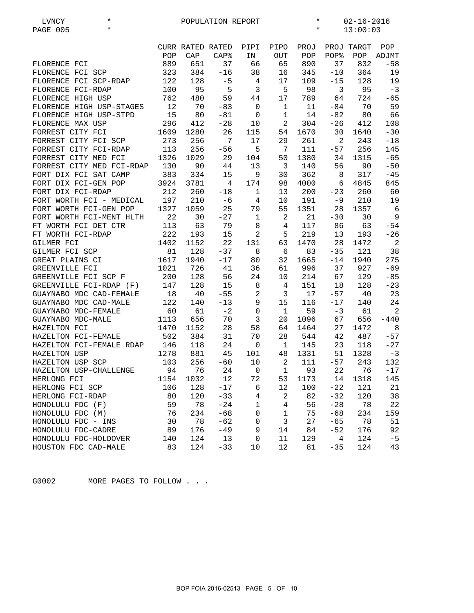| $^\star$<br>LVNCY         |      |                         | POPULATION REPORT |                |                | $\star$ |       | $02 - 16 - 2016$ |        |
|---------------------------|------|-------------------------|-------------------|----------------|----------------|---------|-------|------------------|--------|
| $\star$<br>PAGE 005       |      |                         |                   |                |                | $\star$ |       | 13:00:03         |        |
|                           |      |                         |                   |                |                |         |       |                  |        |
|                           |      | <b>CURR RATED RATED</b> |                   | PIPI           | PIPO           | PROJ    |       | PROJ TARGT       | POP    |
|                           | POP  | CAP                     | CAP <sup>8</sup>  | ΙN             | OUT            | POP     | POP%  | POP              | ADJMT  |
| FLORENCE FCI              | 889  | 651                     | 37                | 66             | 65             | 890     | 37    | 832              | $-58$  |
| FLORENCE FCI SCP          | 323  | 384                     | $-16$             | 38             | 16             | 345     | $-10$ | 364              | 19     |
| FLORENCE FCI SCP-RDAP     | 122  | 128                     | $-5$              | 4              | 17             | 109     | $-15$ | 128              | 19     |
| FLORENCE FCI-RDAP         | 100  | 95                      | 5                 | 3              | 5              | 98      | 3     | 95               | $-3$   |
| FLORENCE HIGH USP         | 762  | 480                     | 59                | 44             | 17             | 789     | 64    | 724              | $-65$  |
| FLORENCE HIGH USP-STAGES  | 12   | 70                      | $-83$             | $\mathbf 0$    | $\mathbf{1}$   | 11      | $-84$ | 70               | 59     |
| FLORENCE HIGH USP-STPD    | 15   | 80                      | $-81$             | 0              | $\mathbf 1$    | 14      | $-82$ | 80               | 66     |
| FLORENCE MAX USP          | 296  | 412                     | $-28$             | 10             | $\overline{c}$ | 304     | $-26$ | 412              | 108    |
| FORREST CITY FCI          | 1609 | 1280                    | 26                | 115            | 54             | 1670    | 30    | 1640             | $-30$  |
| FORREST CITY FCI SCP      | 273  | 256                     | 7                 | 17             | 29             | 261     | 2     | 243              | $-18$  |
| FORREST CITY FCI-RDAP     | 113  | 256                     |                   | 5              | 7              | 111     |       | 256              |        |
|                           |      |                         | $-56$             |                |                |         | $-57$ |                  | 145    |
| FORREST CITY MED FCI      | 1326 | 1029                    | 29                | 104            | 50             | 1380    | 34    | 1315             | $-65$  |
| FORREST CITY MED FCI-RDAP | 130  | 90                      | 44                | 13             | 3              | 140     | 56    | 90               | $-50$  |
| FORT DIX FCI SAT CAMP     | 383  | 334                     | 15                | 9              | 30             | 362     | 8     | 317              | $-45$  |
| FORT DIX FCI-GEN POP      | 3924 | 3781                    | 4                 | 174            | 98             | 4000    | 6     | 4845             | 845    |
| FORT DIX FCI-RDAP         | 212  | 260                     | $-18$             | $\mathbf 1$    | 13             | 200     | $-23$ | 260              | 60     |
| FORT WORTH FCI - MEDICAL  | 197  | 210                     | $-6$              | 4              | 10             | 191     | $-9$  | 210              | 19     |
| FORT WORTH FCI-GEN POP    | 1327 | 1059                    | 25                | 79             | 55             | 1351    | 28    | 1357             | 6      |
| FORT WORTH FCI-MENT HLTH  | 22   | 30                      | $-27$             | $\mathbf{1}$   | 2              | 21      | $-30$ | 30               | 9      |
| FT WORTH FCI DET CTR      | 113  | 63                      | 79                | $\,8\,$        | $\overline{4}$ | 117     | 86    | 63               | $-54$  |
| FT WORTH FCI-RDAP         | 222  | 193                     | 15                | $\overline{a}$ | 5              | 219     | 13    | 193              | $-26$  |
| GILMER FCI                | 1402 | 1152                    | 22                | 131            | 63             | 1470    | 28    | 1472             | 2      |
| GILMER FCI SCP            | 81   | 128                     | $-37$             | 8              | 6              | 83      | $-35$ | 121              | 38     |
| GREAT PLAINS CI           | 1617 | 1940                    | $-17$             | 80             | 32             | 1665    | $-14$ | 1940             | 275    |
| GREENVILLE FCI            | 1021 | 726                     | 41                | 36             | 61             | 996     | 37    | 927              | $-69$  |
| GREENVILLE FCI SCP F      | 200  | 128                     | 56                | 24             | 10             | 214     | 67    | 129              | $-85$  |
| GREENVILLE FCI-RDAP (F)   | 147  | 128                     | 15                | 8              | 4              | 151     | 18    | 128              | $-23$  |
| GUAYNABO MDC CAD-FEMALE   | 18   | 40                      | $-55$             | $\sqrt{2}$     | 3              | 17      | $-57$ | 40               | 23     |
| GUAYNABO MDC CAD-MALE     | 122  | 140                     | $-13$             | 9              | 15             | 116     | $-17$ | 140              | 24     |
| GUAYNABO MDC-FEMALE       | 60   | 61                      | $-2$              | 0              | 1              | 59      | $-3$  | 61               | 2      |
| GUAYNABO MDC-MALE         | 1113 | 656                     | 70                | 3              | 20             | 1096    | 67    | 656              | $-440$ |
| HAZELTON FCI              | 1470 | 1152                    | 28                | 58             | 64             | 1464    | 27    | 1472             | 8      |
| HAZELTON FCI-FEMALE       | 502  | 384                     | 31                | 70             | 28             | 544     | 42    | 487              | $-57$  |
| HAZELTON FCI-FEMALE RDAP  | 146  | 118                     | 24                | $\mathbf 0$    | $\mathbf{1}$   | 145     | 23    | 118              | $-27$  |
| HAZELTON USP              | 1278 | 881                     | 45                | 101            | 48             | 1331    | 51    | 1328             | $-3$   |
| HAZELTON USP SCP          | 103  | 256                     | $-60$             | 10             | 2              | 111     | $-57$ | 243              | 132    |
| HAZELTON USP-CHALLENGE    | 94   | 76                      | 24                | $\mathbf 0$    | $\mathbf 1$    | 93      | 22    | 76               | $-17$  |
| HERLONG FCI               | 1154 | 1032                    | 12                | 72             | 53             | 1173    | 14    | 1318             | 145    |
| HERLONG FCI SCP           | 106  | 128                     | $-17$             | 6              | 12             | 100     | $-22$ | 121              | 21     |
| HERLONG FCI-RDAP          | 80   | 120                     | $-33$             | 4              | $\sqrt{2}$     | 82      | $-32$ | 120              | 38     |
| HONOLULU FDC (F)          | 59   | 78                      | $-24$             |                | 4              | 56      | $-28$ | 78               | 22     |
|                           |      |                         |                   | 1              |                |         |       |                  |        |
| HONOLULU FDC (M)          | 76   | 234                     | $-68$             | 0              | 1              | 75      | $-68$ | 234              | 159    |
| HONOLULU FDC - INS        | 30   | 78                      | $-62$             | 0              | 3              | 27      | $-65$ | 78               | 51     |
| HONOLULU FDC-CADRE        | 89   | 176                     | $-49$             | 9              | 14             | 84      | $-52$ | 176              | 92     |
| HONOLULU FDC-HOLDOVER     | 140  | 124                     | 13                | 0              | 11             | 129     | 4     | 124              | $-5$   |
| HOUSTON FDC CAD-MALE      | 83   | 124                     | $-33$             | 10             | 12             | 81      | $-35$ | 124              | 43     |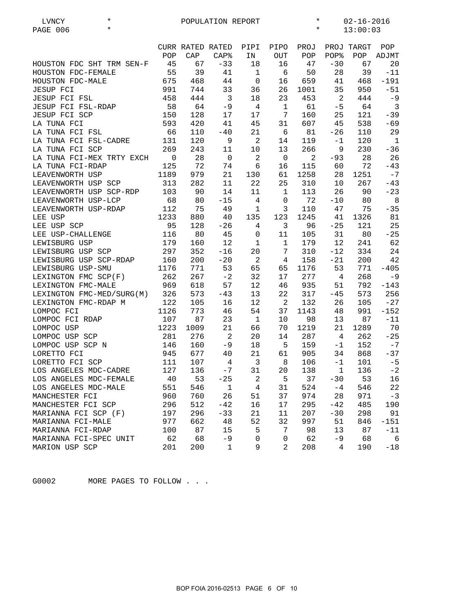| LVNCY                         | $\star$ |                |                  | POPULATION REPORT       |                |                | $\star$ |                | $02 - 16 - 2016$ |                |
|-------------------------------|---------|----------------|------------------|-------------------------|----------------|----------------|---------|----------------|------------------|----------------|
| PAGE 006                      | $\star$ |                |                  |                         |                |                | $\star$ |                | 13:00:03         |                |
|                               |         |                |                  |                         |                |                |         |                |                  |                |
|                               |         |                | CURR RATED RATED |                         | PIPI           | PIPO           | PROJ    |                | PROJ TARGT       | POP            |
|                               |         | POP            | CAP              | CAP <sup>8</sup>        | IN             | OUT            | POP     | POP%           | POP              | ADJMT          |
| HOUSTON FDC SHT TRM SEN-F     |         | 45             | 67               | $-33$                   | 18             | 16             | 47      | $-30$          | 67               | 20             |
| HOUSTON FDC-FEMALE            |         | 55             | 39               | 41                      | $\mathbf 1$    | 6              | 50      | 28             | 39               | $-11$          |
| HOUSTON FDC-MALE              |         | 675            | 468              | 44                      | $\mathbf 0$    | 16             | 659     | 41             | 468              | $-191$         |
| <b>JESUP FCI</b>              |         | 991            | 744              | 33                      | 36             | 26             | 1001    | 35             | 950              | $-51$          |
| <b>JESUP FCI FSL</b>          |         | 458            | 444              | $\overline{\mathbf{3}}$ | 18             | 23             | 453     | 2              | 444              | $-9$           |
| JESUP FCI FSL-RDAP            |         | 58             | 64               | $-9$                    | $\overline{4}$ | $\mathbf{1}$   | 61      | $-5$           | 64               | $\overline{3}$ |
| JESUP FCI SCP                 |         | 150            | 128              | 17                      | 17             | 7              | 160     | 25             | 121              | $-39$          |
| LA TUNA FCI                   |         | 593            | 420              | 41                      | 45             | 31             | 607     | 45             | 538              | $-69$          |
| LA TUNA FCI FSL               |         | 66             | 110              | $-40$                   | 21             | 6              | 81      | $-26$          | 110              | 29             |
| LA TUNA FCI FSL-CADRE         |         | 131            | 120              | 9                       | 2              | 14             | 119     | $-1$           | 120              | $\mathbf{1}$   |
| LA TUNA FCI SCP               |         | 269            | 243              | 11                      | 10             | 13             | 266     | 9              | 230              | $-36$          |
| LA TUNA FCI-MEX TRTY EXCH     |         | $\overline{0}$ | 28               | $\overline{0}$          | 2              | $\overline{0}$ | 2       | $-93$          | 28               | 26             |
| LA TUNA FCI-RDAP              |         | 125            | 72               | 74                      | 6              | 16             | 115     | 60             | 72               | $-43$          |
| LEAVENWORTH USP               |         | 1189           | 979              | 21                      | 130            | 61             | 1258    | 28             | 1251             | $-7$           |
| LEAVENWORTH USP SCP           |         | 313            | 282              | 11                      | 22             | 25             | 310     | 10             | 267              | $-43$          |
| LEAVENWORTH USP SCP-RDP       |         | 103            | 90               | 14                      | 11             | $\mathbf{1}$   | 113     | 26             | 90               | $-23$          |
| LEAVENWORTH USP-LCP           |         | 68             | 80               | $-15$                   | 4              | $\mathbf 0$    | 72      | $-10$          | 80               | 8              |
| LEAVENWORTH USP-RDAP          |         | 112            | 75               | 49                      | $\mathbf 1$    | 3              | 110     | 47             | 75               | $-35$          |
| LEE USP                       |         | 1233           | 880              | 40                      | 135            | 123            | 1245    | 41             | 1326             | 81             |
| LEE USP SCP                   |         | 95             | 128              | $-26$                   | $\overline{4}$ | 3              | 96      | $-25$          | 121              | 25             |
|                               |         | 116            | 80               | 45                      | 0              | 11             | 105     | 31             | 80               | $-25$          |
| LEE USP-CHALLENGE             |         | 179            |                  |                         |                | $\mathbf{1}$   |         | 12             |                  | 62             |
| LEWISBURG USP                 |         | 297            | 160              | 12                      | $\mathbf{1}$   | 7              | 179     |                | 241              |                |
| LEWISBURG USP SCP             |         |                | 352              | $-16$                   | 20             |                | 310     | $-12$          | 334              | 24             |
| LEWISBURG USP SCP-RDAP        |         | 160            | 200              | $-20$                   | $\overline{c}$ | 4              | 158     | $-21$          | 200              | 42             |
| LEWISBURG USP-SMU             |         | 1176           | 771              | 53                      | 65             | 65             | 1176    | 53             | 771              | $-405$         |
| LEXINGTON FMC SCP(F)          |         | 262            | 267              | $-2$                    | 32             | 17             | 277     | 4              | 268              | $-9$           |
| LEXINGTON FMC-MALE            |         | 969            | 618              | 57                      | 12             | 46             | 935     | 51             | 792              | $-143$         |
| LEXINGTON FMC-MED/SURG(M) 326 |         |                | 573              | $-43$                   | 13             | 22             | 317     | $-45$          | 573              | 256            |
| LEXINGTON FMC-RDAP M          |         | 122            | 105              | 16                      | 12             | 2              | 132     | 26             | 105              | $-27$          |
| LOMPOC FCI                    |         | 1126           | 773              | 46                      | 54             | 37             | 1143    | 48             | 991              | $-152$         |
| LOMPOC FCI RDAP               |         | 107            | 87               | 23                      | $\mathbf{1}$   | 10             | 98      | 13             | 87               | $-11$          |
| LOMPOC USP                    |         | 1223           | 1009             | 21                      | 66             | 70             | 1219    | 21             | 1289             | 70             |
| LOMPOC USP SCP                |         | 281            | 276              | $\overline{2}$          | 20             | 14             | 287     | $\overline{4}$ | 262              | $-25$          |
| LOMPOC USP SCP N              |         | 146            | 160              | $-9$                    | 18             | 5              | 159     | -1             | 152              | $-7$           |
| LORETTO FCI                   |         | 945            | 677              | 40                      | 21             | 61             | 905     | 34             | 868              | $-37$          |
| LORETTO FCI SCP               |         | 111            | 107              | 4                       | $\overline{3}$ | 8              | 106     | $-1$           | 101              | $-5$           |
| LOS ANGELES MDC-CADRE         |         | 127            | 136              | -7                      | 31             | 20             | 138     | $\mathbf 1$    | 136              | $-2$           |
| LOS ANGELES MDC-FEMALE        |         | 40             | 53               | $-25$                   | $\sqrt{2}$     | 5              | 37      | $-30$          | 53               | 16             |
| LOS ANGELES MDC-MALE          |         | 551            | 546              | $\mathbf 1$             | $\overline{4}$ | 31             | 524     | $-4$           | 546              | 22             |
| MANCHESTER FCI                |         | 960            | 760              | 26                      | 51             | 37             | 974     | 28             | 971              | $-3$           |
| MANCHESTER FCI SCP            |         | 296            | 512              | $-42$                   | 16             | 17             | 295     | $-42$          | 485              | 190            |
| MARIANNA FCI SCP (F)          |         | 197            | 296              | $-33$                   | 21             | 11             | 207     | $-30$          | 298              | 91             |
| MARIANNA FCI-MALE             |         | 977            | 662              | 48                      | 52             | 32             | 997     | 51             | 846              | $-151$         |
| MARIANNA FCI-RDAP             |         | 100            | 87               | 15                      | 5              | 7              | 98      | 13             | 87               | $-11$          |
| MARIANNA FCI-SPEC UNIT        |         | 62             | 68               | $-9$                    | 0              | $\mathsf 0$    | 62      | $-9$           | 68               | 6              |
| MARION USP SCP                |         | 201            | 200              | $\mathbf{1}$            | 9              | 2              | 208     | 4              | 190              | $-18$          |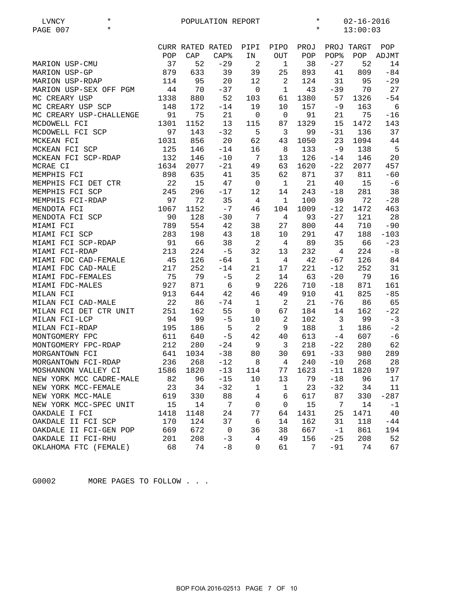| $^\star$<br>LVNCY       |      |                  | POPULATION REPORT |                 |                | $\ast$  |              | $02 - 16 - 2016$ |        |
|-------------------------|------|------------------|-------------------|-----------------|----------------|---------|--------------|------------------|--------|
| $\star$<br>PAGE 007     |      |                  |                   |                 |                | $\star$ |              | 13:00:03         |        |
|                         |      |                  |                   |                 |                |         |              |                  |        |
|                         |      | CURR RATED RATED |                   | PIPI            | PIPO           | PROJ    |              | PROJ TARGT       | POP    |
|                         | POP  | CAP              | $CAP$ $8$         | IN              | $_{\rm OUT}$   | POP     | POP%         | POP              | ADJMT  |
| MARION USP-CMU          | 37   | 52               | $-29$             | 2               | $\mathbf{1}$   | 38      | $-27$        | 52               | 14     |
| MARION USP-GP           | 879  | 633              | 39                | 39              | 25             | 893     | 41           | 809              | $-84$  |
| MARION USP-RDAP         | 114  | 95               | 20                | 12              | 2              | 124     | 31           | 95               | $-29$  |
| MARION USP-SEX OFF PGM  | 44   | 70               | $-37$             | $\overline{0}$  | $\mathbf 1$    | 43      | $-39$        | 70               | 27     |
| MC CREARY USP           | 1338 |                  | 52                |                 | 61             | 1380    | 57           | 1326             | $-54$  |
| MC CREARY USP SCP       |      | 880              |                   | 103             |                |         |              |                  |        |
|                         | 148  | 172              | $-14$             | 19              | 10             | 157     | $-9$         | 163              | 6      |
| MC CREARY USP-CHALLENGE | 91   | 75               | 21                | $\mathbf 0$     | $\mathbf 0$    | 91      | 21           | 75               | $-16$  |
| MCDOWELL FCI            | 1301 | 1152             | 13                | 115             | 87             | 1329    | 15           | 1472             | 143    |
| MCDOWELL FCI SCP        | 97   | 143              | $-32$             | 5               | 3              | 99      | $-31$        | 136              | 37     |
| MCKEAN FCI              | 1031 | 856              | 20                | 62              | 43             | 1050    | 23           | 1094             | 44     |
| MCKEAN FCI SCP          | 125  | 146              | $-14$             | 16              | 8              | 133     | $-9$         | 138              | 5      |
| MCKEAN FCI SCP-RDAP     | 132  | 146              | $-10$             | 7               | 13             | 126     | $-14$        | 146              | 20     |
| MCRAE CI                | 1634 | 2077             | $-21$             | 49              | 63             | 1620    | $-22$        | 2077             | 457    |
| MEMPHIS FCI             | 898  | 635              | 41                | 35              | 62             | 871     | 37           | 811              | $-60$  |
| MEMPHIS FCI DET CTR     | 22   | 15               | 47                | $\overline{0}$  | $\mathbf{1}$   | 21      | 40           | 15               | $-6$   |
| MEMPHIS FCI SCP         | 245  | 296              | $-17$             | 12              | 14             | 243     | $-18$        | 281              | 38     |
| MEMPHIS FCI-RDAP        | 97   | 72               | 35                | 4               | $\mathbf 1$    | 100     | 39           | 72               | $-28$  |
| MENDOTA FCI             | 1067 | 1152             | $-7$              | 46              | 104            | 1009    | $-12$        | 1472             | 463    |
| MENDOTA FCI SCP         | 90   | 128              | $-30$             | $7\phantom{.0}$ | $\overline{4}$ | 93      | $-27$        | 121              | 28     |
| MIAMI FCI               | 789  | 554              | 42                | 38              | 27             | 800     | 44           | 710              | $-90$  |
| MIAMI FCI SCP           | 283  | 198              | 43                | 18              | 10             | 291     | 47           | 188              | $-103$ |
| MIAMI FCI SCP-RDAP      | 91   | 66               | 38                | $\overline{c}$  | 4              | 89      | 35           | 66               | $-23$  |
| MIAMI FCI-RDAP          | 213  | 224              | $-5$              | 32              | 13             | 232     | 4            | 224              | $-8$   |
| MIAMI FDC CAD-FEMALE    | 45   | 126              | $-64$             | $\mathbf{1}$    | 4              | 42      | $-67$        | 126              | 84     |
| MIAMI FDC CAD-MALE      | 217  | 252              | $-14$             | 21              | 17             | 221     | $-12$        | 252              | 31     |
|                         |      |                  |                   |                 |                |         |              |                  |        |
| MIAMI FDC-FEMALES       | 75   | 79               | $-5$              | 2               | 14             | 63      | $-20$        | 79               | 16     |
| MIAMI FDC-MALES         | 927  | 871              | 6                 | $\mathsf 9$     | 226            | 710     | $-18$        | 871              | 161    |
| MILAN FCI               | 913  | 644              | 42                | 46              | 49             | 910     | 41           | 825              | $-85$  |
| MILAN FCI CAD-MALE      | 22   | 86               | $-74$             | $\mathbf{1}$    | $\overline{c}$ | 21      | $-76$        | 86               | 65     |
| MILAN FCI DET CTR UNIT  | 251  | 162              | 55                | 0               | 67             | 184     | 14           | 162              | $-22$  |
| MILAN FCI-LCP           | 94   | 99               | $-5$              | 10              | $\sqrt{2}$     | 102     | 3            | 99               | $-3$   |
| MILAN FCI-RDAP          | 195  | 186              | 5                 | $\overline{2}$  | 9              | 188     | $\mathbf{1}$ | 186              | $-2$   |
| MONTGOMERY FPC          | 611  | 640              | $-5$              | 42              | 40             | 613     | -4           | 607              | $-6$   |
| MONTGOMERY FPC-RDAP     | 212  | 280              | $-24$             | 9               | 3              | 218     | $-22$        | 280              | 62     |
| MORGANTOWN FCI          | 641  | 1034             | $-38$             | 80              | 30             | 691     | $-33$        | 980              | 289    |
| MORGANTOWN FCI-RDAP     | 236  | 268              | $-12$             | 8               | 4              | 240     | $-10$        | 268              | 28     |
| MOSHANNON VALLEY CI     | 1586 | 1820             | $-13$             | 114             | 77             | 1623    | $-11$        | 1820             | 197    |
| NEW YORK MCC CADRE-MALE | 82   | 96               | $-15$             | 10              | 13             | 79      | $-18$        | 96               | 17     |
| NEW YORK MCC-FEMALE     | 23   | 34               | $-32$             | $\mathbf{1}$    | $\mathbf{1}$   | 23      | $-32$        | 34               | 11     |
| NEW YORK MCC-MALE       | 619  | 330              | 88                | 4               | 6              | 617     | 87           | 330              | $-287$ |
| NEW YORK MCC-SPEC UNIT  | 15   | 14               | 7                 | 0               | 0              | 15      | 7            | 14               | $-1$   |
| OAKDALE I FCI           | 1418 | 1148             | 24                | 77              | 64             | 1431    | 25           | 1471             | 40     |
| OAKDALE II FCI SCP      | 170  | 124              | 37                | 6               | 14             | 162     | 31           | 118              | $-44$  |
| OAKDALE II FCI-GEN POP  | 669  | 672              | $\mathsf 0$       | 36              | 38             | 667     | $-1$         | 861              | 194    |
|                         |      |                  | $-3$              | 4               |                |         |              |                  | 52     |
| OAKDALE II FCI-RHU      | 201  | 208              |                   |                 | 49             | 156     | $-25$        | 208              |        |
| OKLAHOMA FTC (FEMALE)   | 68   | 74               | $-8$              | 0               | 61             | 7       | $-91$        | 74               | 67     |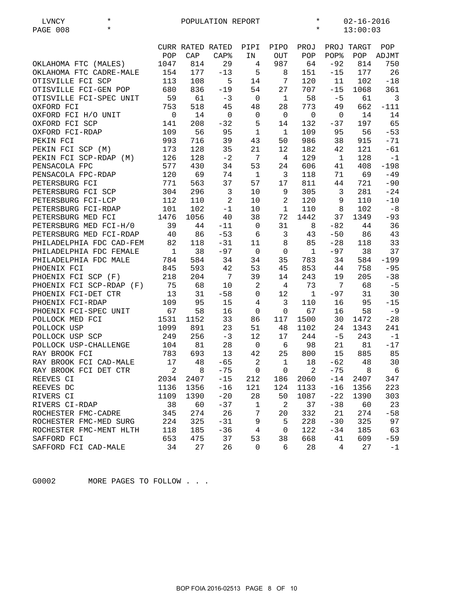| $^\star$<br>LVNCY        | $\ast$<br>$02 - 16 - 2016$<br>POPULATION REPORT |                            |                  |                |                 |                          |              |            |                 |
|--------------------------|-------------------------------------------------|----------------------------|------------------|----------------|-----------------|--------------------------|--------------|------------|-----------------|
| $\star$<br>PAGE 008      |                                                 |                            |                  |                |                 | $\star$                  |              | 13:00:03   |                 |
|                          |                                                 | CURR RATED RATED           |                  | PIPI           | PIPO            | PROJ                     |              | PROJ TARGT | POP             |
|                          | POP                                             | CAP                        | CAP <sub>8</sub> | IN             | <b>OUT</b>      | POP                      | POP%         | POP        | ADJMT           |
| OKLAHOMA FTC (MALES)     | 1047                                            | 814                        | 29               | 4              | 987             | 64                       | $-92$        | 814        | 750             |
| OKLAHOMA FTC CADRE-MALE  | 154                                             | 177                        | $-13$            | 5              | 8               | 151                      | $-15$        | 177        | 26              |
| OTISVILLE FCI SCP        | 113                                             | 108                        | 5                | 14             | $7\phantom{.0}$ | 120                      | 11           | 102        | $-18$           |
| OTISVILLE FCI-GEN POP    | 680                                             | 836                        | $-19$            | 54             | 27              | 707                      | $-15$        | 1068       | 361             |
| OTISVILLE FCI-SPEC UNIT  | 59                                              | 61                         | $-3$             | $\overline{0}$ | 1               | 58                       | $-5$         | 61         | $\overline{3}$  |
| OXFORD FCI               | 753                                             | 518                        | 45               | 48             | 28              | 773                      | 49           | 662        | $-111$          |
| OXFORD FCI H/O UNIT      | 0                                               | 14                         | $\mathbf 0$      | $\mathbf 0$    | $\mathbf 0$     | $\mathbf 0$              | $\mathbf 0$  | 14         | 14              |
| OXFORD FCI SCP           | 141                                             | 208                        | $-32$            | 5              | 14              | 132                      | $-37$        | 197        | 65              |
| OXFORD FCI-RDAP          | 109                                             | 56                         | 95               | $\mathbf{1}$   | $\mathbf{1}$    | 109                      | 95           | 56         | $-53$           |
| PEKIN FCI                | 993                                             | 716                        | 39               | 43             | 50              | 986                      | 38           | 915        | $-71$           |
| PEKIN FCI SCP (M)        | 173                                             | 128                        | 35               | 21             | 12              | 182                      | 42           | 121        | $-61$           |
| PEKIN FCI SCP-RDAP (M)   | 126                                             | 128                        | $-2$             | 7              | 4               | 129                      | $\mathbf{1}$ | 128        | $-1$            |
| PENSACOLA FPC            | 577                                             | 430                        | 34               | 53             | 24              | 606                      | 41           | 408        | $-198$          |
| PENSACOLA FPC-RDAP       | 120                                             | 69                         | 74               | 1              | 3               | 118                      | 71           | 69         | $-49$           |
| PETERSBURG FCI           | 771                                             | 563                        | 37               | 57             | 17              | 811                      | 44           | 721        | $-90$           |
| PETERSBURG FCI SCP       | 304                                             | 296                        | $\mathbf{3}$     | 10             | 9               | 305                      | 3            | 281        | $-24$           |
| PETERSBURG FCI-LCP       | 112                                             | 110                        | 2                | 10             | $\overline{a}$  | 120                      | 9            | 110        | $-10$           |
| PETERSBURG FCI-RDAP      | 101                                             | 102                        | $-1$             | 10             | $\mathbf 1$     | 110                      | 8            | 102        | $-8$            |
| PETERSBURG MED FCI       | 1476                                            | 1056                       | 40               | 38             | 72              | 1442                     | 37           | 1349       | $-93$           |
| PETERSBURG MED FCI-H/0   | 39                                              | 44                         | $-11$            | $\mathbf 0$    | 31              | 8                        | $-82$        | 44         | 36              |
| PETERSBURG MED FCI-RDAP  | 40                                              | 86                         | $-53$            | 6              | $\overline{3}$  | 43                       | $-50$        | 86         | 43              |
| PHILADELPHIA FDC CAD-FEM | 82                                              | 118                        | $-31$            | 11             | $\,8\,$         | 85                       | $-28$        | 118        | 33              |
| PHILADELPHIA FDC FEMALE  | $\overline{1}$                                  | 38                         | $-97$            | $\overline{0}$ | $\mathbf 0$     | $\mathbf{1}$             | $-97$        | 38         | 37              |
| PHILADELPHIA FDC MALE    | 784                                             | 584                        | 34               | 34             | 35              | 783                      | 34           | 584        | $-199$          |
| PHOENIX FCI              | 845                                             | 593                        | 42               | 53             | 45              | 853                      | 44           | 758        | $-95$           |
| PHOENIX FCI SCP (F)      | 218                                             | 204                        | 7                | 39             | 14              | 243                      | 19           | 205        | $-38$           |
| PHOENIX FCI SCP-RDAP (F) | 75                                              | 68                         | 10               | $\overline{a}$ | 4               | 73                       | 7            | 68         | $-5$            |
| PHOENIX FCI-DET CTR      | 13                                              | 31                         | $-58$            | 0              | 12              | $\mathbf{1}$             | $-97$        | 31         | 30              |
| PHOENIX FCI-RDAP         | 109                                             | 95                         | 15               | 4              | 3               | 110                      | 16           | 95         | $-15$           |
| PHOENIX FCI-SPEC UNIT    | 67                                              | 58                         | 16               | $\mathbf 0$    | $\mathbf 0$     | 67                       | 16           | 58         | $-9$            |
| POLLOCK MED FCI          | 1531                                            | 1152                       | 33               | 86             | 117             | 1500                     | 30           | 1472       | $-28$           |
| POLLOCK USP              | 1099                                            | 891                        | 23               | 51             | 48              | 1102                     | 24           | 1343       | 241             |
| POLLOCK USP SCP          | 249                                             | 256                        | $-3$             | 12             | 17              | 244                      | $-5$         | 243        | $-1$            |
| POLLOCK USP-CHALLENGE    | 104                                             | 81                         | 28               | $\overline{0}$ | 6               | 98                       | 21           | 81         | $-17$           |
| RAY BROOK FCI            | 783                                             | 693                        | 13               | 42             | 25              | 800                      | 15           | 885        | 85              |
| RAY BROOK FCI CAD-MALE   | 17                                              | 48                         | $-65$            | -2             |                 | 1 18                     | $-62$        | 48         | 30              |
| RAY BROOK FCI DET CTR    | $\overline{\phantom{a}}$                        | $\overline{\phantom{0}}$ 8 | $-75$            | 0              | 0               | $\overline{\phantom{a}}$ |              | -75<br>8   | $6\overline{6}$ |
| REEVES CI                | 2034                                            | 2407                       | $-15$            | 212            | 186             | 2060                     | $-14$        | 2407       | 347             |
| REEVES DC                | 1136                                            | 1356                       | $-16$            | 121            | 124             | 1133                     | $-16$        | 1356       | 223             |
| RIVERS CI                | 1109                                            | 1390                       | $-20$            | 28             | 50              | 1087                     | $-22$        | 1390       | 303             |
| RIVERS CI-RDAP           | 38                                              | 60                         | $-37$            | $1\,$          | 2               | 37                       | $-38$        | 60         | 23              |
| ROCHESTER FMC-CADRE      | 345                                             | 274                        | 26               | 7              | 20              | 332                      | 21           | 274        | $-58$           |
| ROCHESTER FMC-MED SURG   | 224                                             | 325                        | $-31$            | 9              | 5               | 228                      | $-30$        | 325        | 97              |
| ROCHESTER FMC-MENT HLTH  | 118                                             | 185                        | $-36$            | $\overline{4}$ | $\mathbf 0$     | 122                      | $-34$        | 185        | 63              |
| SAFFORD FCI              | 653                                             | 475                        | 37               | 53             | 38              | 668                      | 41           | 609        | $-59$           |
| SAFFORD FCI CAD-MALE     | 34                                              | 27                         | 26               | 0              | 6               | 28                       | 4            | 27         | $-1$            |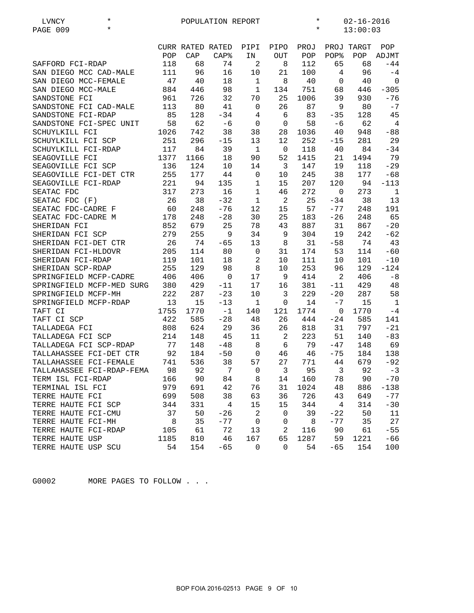| $\star$<br>LVNCY          |      |                  | POPULATION REPORT |              |             | $^\star$ |                | $02 - 16 - 2016$ |                |
|---------------------------|------|------------------|-------------------|--------------|-------------|----------|----------------|------------------|----------------|
| $\star$<br>PAGE 009       |      |                  |                   |              |             | $^\star$ |                | 13:00:03         |                |
|                           |      |                  |                   |              |             |          |                |                  |                |
|                           |      | CURR RATED RATED |                   | PIPI         | PIPO        | PROJ     |                | PROJ TARGT       | POP            |
|                           | POP  | CAP              | CAP <sup>8</sup>  | IN           | <b>OUT</b>  | POP      | POP%           | POP              | ADJMT          |
| SAFFORD FCI-RDAP          | 118  | 68               | 74                | $\sqrt{2}$   | 8           | 112      | 65             | 68               | $-44$          |
| SAN DIEGO MCC CAD-MALE    | 111  | 96               | 16                | 10           | 21          | 100      | $\overline{4}$ | 96               | $-4$           |
| SAN DIEGO MCC-FEMALE      | 47   | 40               | 18                | $\mathbf{1}$ | 8           | 40       | $\mathbf 0$    | 40               | $\overline{0}$ |
| SAN DIEGO MCC-MALE        | 884  | 446              | 98                | $\mathbf{1}$ | 134         | 751      | 68             | 446              | $-305$         |
| SANDSTONE FCI             | 961  | 726              | 32                | 70           | 25          | 1006     | 39             | 930              | $-76$          |
| SANDSTONE FCI CAD-MALE    | 113  | 80               | 41                | $\mathbf 0$  | 26          | 87       | 9              | 80               | $-7$           |
| SANDSTONE FCI-RDAP        | 85   | 128              | $-34$             | 4            | 6           | 83       | $-35$          | 128              | 45             |
| SANDSTONE FCI-SPEC UNIT   | 58   | 62               | $-6$              | $\mathbf 0$  | $\mathbf 0$ | 58       | $-6$           | 62               | $\overline{4}$ |
| SCHUYLKILL FCI            | 1026 | 742              | 38                | 38           | 28          | 1036     | 40             | 948              | $-88$          |
| SCHUYLKILL FCI SCP        | 251  | 296              | $-15$             | 13           | 12          | 252      | $-15$          | 281              | 29             |
| SCHUYLKILL FCI-RDAP       | 117  | 84               | 39                | $\mathbf{1}$ | $\mathbf 0$ | 118      | 40             | 84               | $-34$          |
| SEAGOVILLE FCI            | 1377 | 1166             | 18                | 90           | 52          | 1415     | 21             | 1494             | 79             |
| SEAGOVILLE FCI SCP        | 136  | 124              | 10                | 14           | 3           | 147      | 19             | 118              | $-29$          |
| SEAGOVILLE FCI-DET CTR    | 255  | 177              | 44                | $\mathbf 0$  | 10          | 245      | 38             | 177              | $-68$          |
| SEAGOVILLE FCI-RDAP       | 221  | 94               | 135               | $\mathbf{1}$ | 15          | 207      | 120            | 94               | $-113$         |
| SEATAC FDC                | 317  | 273              | 16                | $\mathbf 1$  | 46          | 272      | 0              | 273              | $\mathbf{1}$   |
| SEATAC FDC (F)            | 26   | 38               | $-32$             | $\mathbf{1}$ | 2           | 25       | $-34$          | 38               | 13             |
| SEATAC FDC-CADRE F        | 60   | 248              | $-76$             | 12           | 15          | 57       | $-77$          | 248              | 191            |
| SEATAC FDC-CADRE M        | 178  | 248              | $-28$             | 30           | 25          | 183      | $-26$          | 248              | 65             |
| SHERIDAN FCI              | 852  | 679              | 25                | 78           | 43          | 887      | 31             | 867              | $-20$          |
| SHERIDAN FCI SCP          | 279  | 255              | 9                 | 34           | $\,9$       | 304      | 19             | 242              | $-62$          |
| SHERIDAN FCI-DET CTR      | 26   | 74               | $-65$             | 13           | 8           | 31       | $-58$          | 74               | 43             |
| SHERIDAN FCI-HLDOVR       | 205  | 114              | 80                | $\mathbf 0$  | 31          | 174      | 53             | 114              | $-60$          |
| SHERIDAN FCI-RDAP         | 119  | 101              | 18                | 2            | 10          | 111      | 10             | 101              | $-10$          |
| SHERIDAN SCP-RDAP         | 255  | 129              | 98                | 8            | 10          | 253      | 96             | 129              | $-124$         |
| SPRINGFIELD MCFP-CADRE    | 406  | 406              | 0                 | 17           | 9           | 414      | 2              | 406              | $-8$           |
| SPRINGFIELD MCFP-MED SURG | 380  | 429              | $-11$             | 17           | 16          | 381      | $-11$          | 429              | 48             |
| SPRINGFIELD MCFP-MH       | 222  | 287              | $-23$             | 10           | 3           | 229      | $-20$          | 287              | 58             |
| SPRINGFIELD MCFP-RDAP     | 13   | 15               | $-13$             | $\mathbf{1}$ | 0           | 14       | $-7$           | 15               | $\mathbf{1}$   |
| TAFT CI                   | 1755 | 1770             | $-1$              | 140          | 121         | 1774     | $\mathbf 0$    | 1770             | $-4$           |
| TAFT CI SCP               | 422  | 585              | $-28$             | 48           | 26          | 444      | $-24$          | 585              | 141            |
| TALLADEGA FCI             | 808  | 624              | 29                | 36           | 26          | 818      | 31             | 797              | $-21$          |
| TALLADEGA FCI SCP         | 214  | 148              | 45                | 11           | 2           | 223      | 51             | 140              | $-83$          |
| TALLADEGA FCI SCP-RDAP    | 77   | 148              | $-48$             | 8            | 6           | 79       | $-47$          | 148              | 69             |
| TALLAHASSEE FCI-DET CTR   | 92   | 184              | $-50$             | 0            | 46          | 46       | $-75$          | 184              | 138            |
| TALLAHASSEE FCI-FEMALE    | 741  | 536              | 38                | 57           | 27          | 771      | 44             | 679              | $-92$          |
| TALLAHASSEE FCI-RDAP-FEMA | 98   | 92               | 7                 | 0            | 3           | 95       | 3              | 92               | $-3$           |
| TERM ISL FCI-RDAP         | 166  | 90               | 84                | 8            | 14          | 160      | 78             | 90               | $-70$          |
| TERMINAL ISL FCI          | 979  | 691              | 42                | 76           | 31          | 1024     | 48             | 886              | $-138$         |
| TERRE HAUTE FCI           | 699  | 508              | 38                | 63           | 36          | 726      | 43             | 649              | $-77$          |
| TERRE HAUTE FCI SCP       | 344  | 331              | 4                 | 15           | 15          | 344      | 4              | 314              | $-30$          |
| TERRE HAUTE FCI-CMU       | 37   | 50               | $-26$             | 2            | 0           | 39       | $-22$          | 50               | 11             |
| TERRE HAUTE FCI-MH        | 8    | 35               | $-77$             | $\mathbf 0$  | 0           | 8        | $-77$          | 35               | 27             |
| TERRE HAUTE FCI-RDAP      | 105  | 61               | 72                | 13           | 2           | 116      | 90             | 61               | $-55$          |
| TERRE HAUTE USP           | 1185 | 810              | 46                | 167          | 65          | 1287     | 59             | 1221             | $-66$          |
| TERRE HAUTE USP SCU       | 54   | 154              | $-65$             | 0            | 0           | 54       | $-65$          | 154              | 100            |